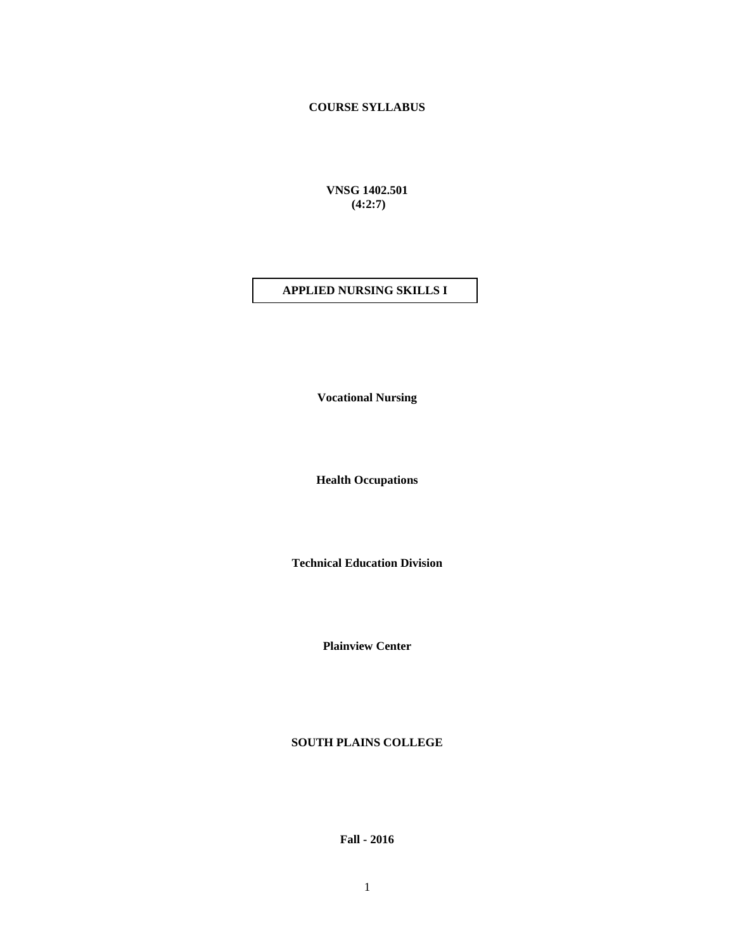# **COURSE SYLLABUS**

**VNSG 1402.501 (4:2:7)**

### **APPLIED NURSING SKILLS I**

**Vocational Nursing**

**Health Occupations**

**Technical Education Division**

**Plainview Center**

**SOUTH PLAINS COLLEGE**

**Fall - 2016**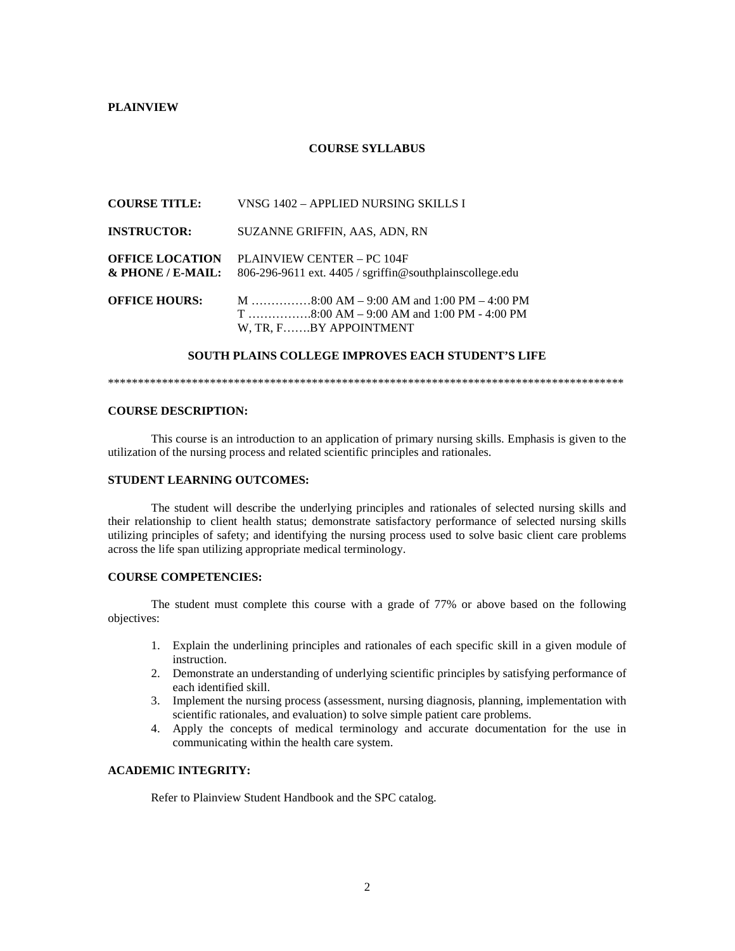#### **PLAINVIEW**

#### **COURSE SYLLABUS**

|                                             | W, TR, FBY APPOINTMENT                                                                 |
|---------------------------------------------|----------------------------------------------------------------------------------------|
| <b>OFFICE HOURS:</b>                        |                                                                                        |
| <b>OFFICE LOCATION</b><br>& PHONE / E-MAIL: | PLAINVIEW CENTER - PC 104F<br>806-296-9611 ext. 4405 / sgriffin@southplainscollege.edu |
| <b>INSTRUCTOR:</b>                          | SUZANNE GRIFFIN, AAS, ADN, RN                                                          |
| <b>COURSE TITLE:</b>                        | VNSG 1402 – APPLIED NURSING SKILLS I                                                   |

#### **SOUTH PLAINS COLLEGE IMPROVES EACH STUDENT'S LIFE**

\*\*\*\*\*\*\*\*\*\*\*\*\*\*\*\*\*\*\*\*\*\*\*\*\*\*\*\*\*\*\*\*\*\*\*\*\*\*\*\*\*\*\*\*\*\*\*\*\*\*\*\*\*\*\*\*\*\*\*\*\*\*\*\*\*\*\*\*\*\*\*\*\*\*\*\*\*\*\*\*\*\*\*\*\*\*

#### **COURSE DESCRIPTION:**

This course is an introduction to an application of primary nursing skills. Emphasis is given to the utilization of the nursing process and related scientific principles and rationales.

#### **STUDENT LEARNING OUTCOMES:**

The student will describe the underlying principles and rationales of selected nursing skills and their relationship to client health status; demonstrate satisfactory performance of selected nursing skills utilizing principles of safety; and identifying the nursing process used to solve basic client care problems across the life span utilizing appropriate medical terminology.

#### **COURSE COMPETENCIES:**

The student must complete this course with a grade of 77% or above based on the following objectives:

- 1. Explain the underlining principles and rationales of each specific skill in a given module of instruction.
- 2. Demonstrate an understanding of underlying scientific principles by satisfying performance of each identified skill.
- 3. Implement the nursing process (assessment, nursing diagnosis, planning, implementation with scientific rationales, and evaluation) to solve simple patient care problems.
- 4. Apply the concepts of medical terminology and accurate documentation for the use in communicating within the health care system.

#### **ACADEMIC INTEGRITY:**

Refer to Plainview Student Handbook and the SPC catalog.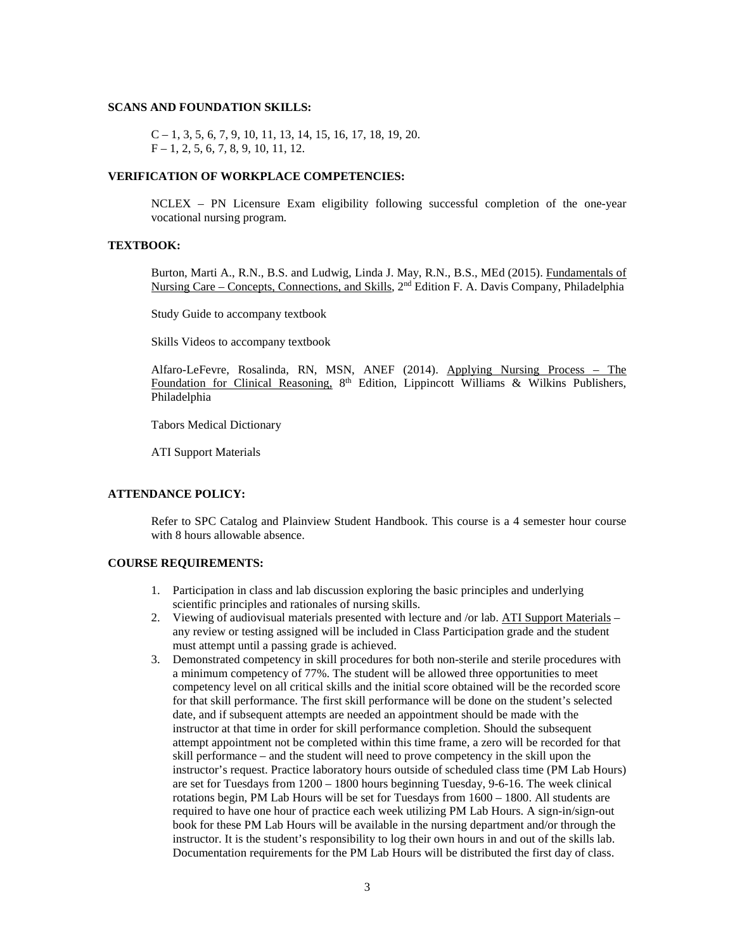#### **SCANS AND FOUNDATION SKILLS:**

C – 1, 3, 5, 6, 7, 9, 10, 11, 13, 14, 15, 16, 17, 18, 19, 20.  $F - 1, 2, 5, 6, 7, 8, 9, 10, 11, 12.$ 

#### **VERIFICATION OF WORKPLACE COMPETENCIES:**

NCLEX – PN Licensure Exam eligibility following successful completion of the one-year vocational nursing program.

#### **TEXTBOOK:**

Burton, Marti A., R.N., B.S. and Ludwig, Linda J. May, R.N., B.S., MEd (2015). Fundamentals of Nursing Care – Concepts, Connections, and Skills, 2nd Edition F. A. Davis Company, Philadelphia

Study Guide to accompany textbook

Skills Videos to accompany textbook

Alfaro-LeFevre, Rosalinda, RN, MSN, ANEF (2014). Applying Nursing Process – The Foundation for Clinical Reasoning,  $8<sup>th</sup>$  Edition, Lippincott Williams & Wilkins Publishers, Philadelphia

Tabors Medical Dictionary

ATI Support Materials

#### **ATTENDANCE POLICY:**

Refer to SPC Catalog and Plainview Student Handbook. This course is a 4 semester hour course with 8 hours allowable absence.

#### **COURSE REQUIREMENTS:**

- 1. Participation in class and lab discussion exploring the basic principles and underlying scientific principles and rationales of nursing skills.
- 2. Viewing of audiovisual materials presented with lecture and /or lab. ATI Support Materials any review or testing assigned will be included in Class Participation grade and the student must attempt until a passing grade is achieved.
- 3. Demonstrated competency in skill procedures for both non-sterile and sterile procedures with a minimum competency of 77%. The student will be allowed three opportunities to meet competency level on all critical skills and the initial score obtained will be the recorded score for that skill performance. The first skill performance will be done on the student's selected date, and if subsequent attempts are needed an appointment should be made with the instructor at that time in order for skill performance completion. Should the subsequent attempt appointment not be completed within this time frame, a zero will be recorded for that skill performance – and the student will need to prove competency in the skill upon the instructor's request. Practice laboratory hours outside of scheduled class time (PM Lab Hours) are set for Tuesdays from 1200 – 1800 hours beginning Tuesday, 9-6-16. The week clinical rotations begin, PM Lab Hours will be set for Tuesdays from  $1600 - 1800$ . All students are required to have one hour of practice each week utilizing PM Lab Hours. A sign-in/sign-out book for these PM Lab Hours will be available in the nursing department and/or through the instructor. It is the student's responsibility to log their own hours in and out of the skills lab. Documentation requirements for the PM Lab Hours will be distributed the first day of class.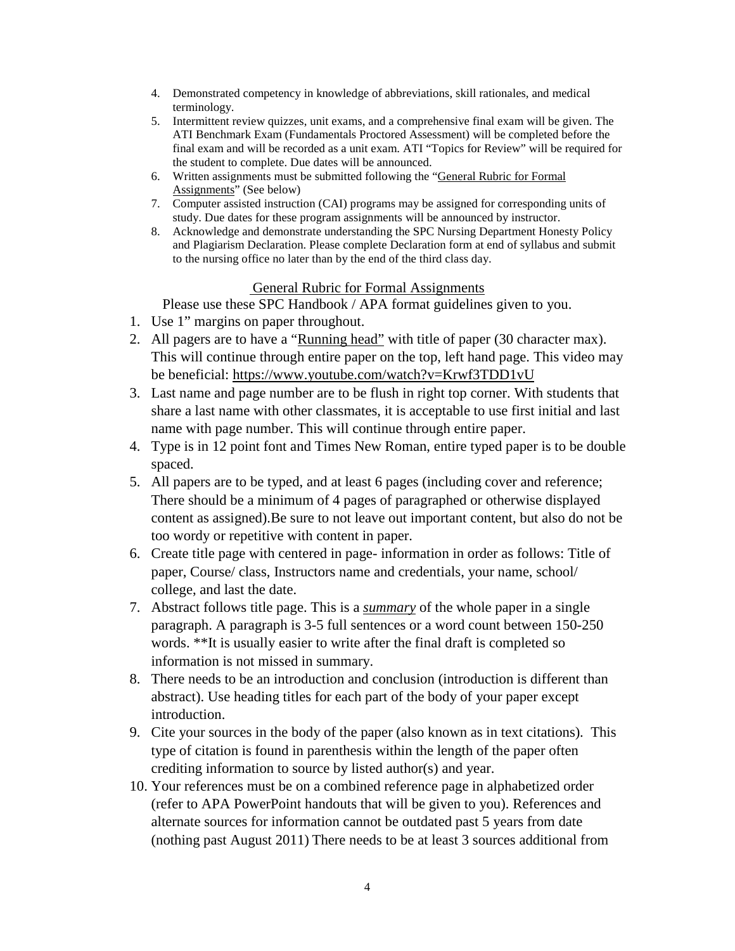- 4. Demonstrated competency in knowledge of abbreviations, skill rationales, and medical terminology.
- 5. Intermittent review quizzes, unit exams, and a comprehensive final exam will be given. The ATI Benchmark Exam (Fundamentals Proctored Assessment) will be completed before the final exam and will be recorded as a unit exam. ATI "Topics for Review" will be required for the student to complete. Due dates will be announced.
- 6. Written assignments must be submitted following the "General Rubric for Formal Assignments" (See below)
- 7. Computer assisted instruction (CAI) programs may be assigned for corresponding units of study. Due dates for these program assignments will be announced by instructor.
- 8. Acknowledge and demonstrate understanding the SPC Nursing Department Honesty Policy and Plagiarism Declaration. Please complete Declaration form at end of syllabus and submit to the nursing office no later than by the end of the third class day.

# General Rubric for Formal Assignments

Please use these SPC Handbook / APA format guidelines given to you.

- 1. Use 1" margins on paper throughout.
- 2. All pagers are to have a "Running head" with title of paper (30 character max). This will continue through entire paper on the top, left hand page. This video may be beneficial:<https://www.youtube.com/watch?v=Krwf3TDD1vU>
- 3. Last name and page number are to be flush in right top corner. With students that share a last name with other classmates, it is acceptable to use first initial and last name with page number. This will continue through entire paper.
- 4. Type is in 12 point font and Times New Roman, entire typed paper is to be double spaced.
- 5. All papers are to be typed, and at least 6 pages (including cover and reference; There should be a minimum of 4 pages of paragraphed or otherwise displayed content as assigned).Be sure to not leave out important content, but also do not be too wordy or repetitive with content in paper.
- 6. Create title page with centered in page- information in order as follows: Title of paper, Course/ class, Instructors name and credentials, your name, school/ college, and last the date.
- 7. Abstract follows title page. This is a *summary* of the whole paper in a single paragraph. A paragraph is 3-5 full sentences or a word count between 150-250 words. \*\*It is usually easier to write after the final draft is completed so information is not missed in summary.
- 8. There needs to be an introduction and conclusion (introduction is different than abstract). Use heading titles for each part of the body of your paper except introduction.
- 9. Cite your sources in the body of the paper (also known as in text citations). This type of citation is found in parenthesis within the length of the paper often crediting information to source by listed author(s) and year.
- 10. Your references must be on a combined reference page in alphabetized order (refer to APA PowerPoint handouts that will be given to you). References and alternate sources for information cannot be outdated past 5 years from date (nothing past August 2011) There needs to be at least 3 sources additional from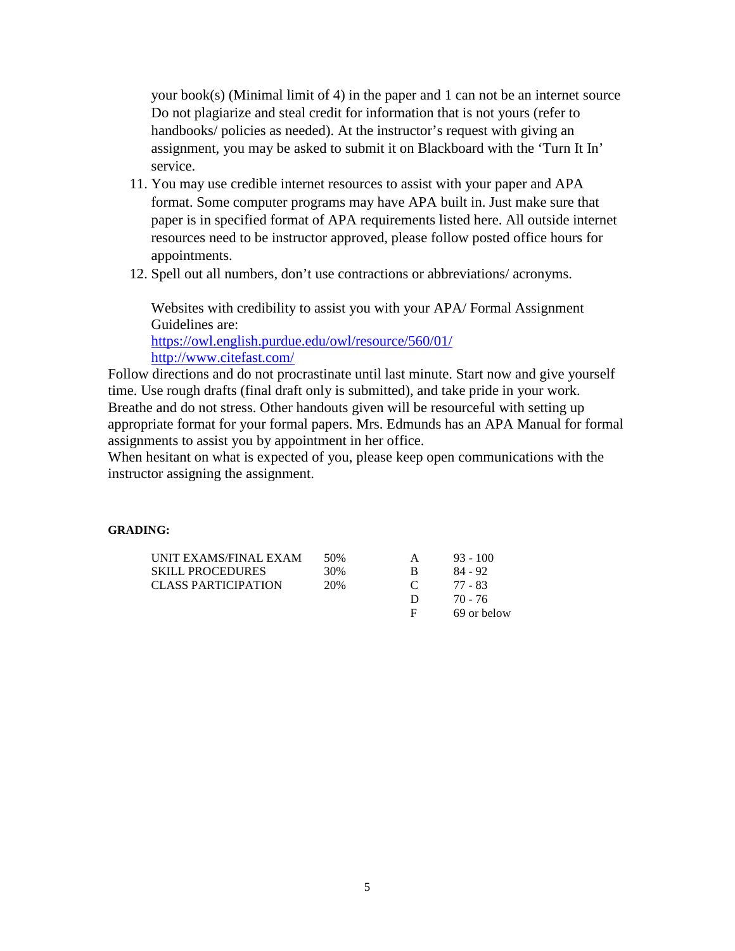your book(s) (Minimal limit of 4) in the paper and 1 can not be an internet source Do not plagiarize and steal credit for information that is not yours (refer to handbooks/ policies as needed). At the instructor's request with giving an assignment, you may be asked to submit it on Blackboard with the 'Turn It In' service.

- 11. You may use credible internet resources to assist with your paper and APA format. Some computer programs may have APA built in. Just make sure that paper is in specified format of APA requirements listed here. All outside internet resources need to be instructor approved, please follow posted office hours for appointments.
- 12. Spell out all numbers, don't use contractions or abbreviations/ acronyms.

Websites with credibility to assist you with your APA/ Formal Assignment Guidelines are:

<https://owl.english.purdue.edu/owl/resource/560/01/> <http://www.citefast.com/>

Follow directions and do not procrastinate until last minute. Start now and give yourself time. Use rough drafts (final draft only is submitted), and take pride in your work. Breathe and do not stress. Other handouts given will be resourceful with setting up appropriate format for your formal papers. Mrs. Edmunds has an APA Manual for formal assignments to assist you by appointment in her office.

When hesitant on what is expected of you, please keep open communications with the instructor assigning the assignment.

### **GRADING:**

| UNIT EXAMS/FINAL EXAM      | 50% |              | $93 - 100$  |
|----------------------------|-----|--------------|-------------|
| <b>SKILL PROCEDURES</b>    | 30% | в            | 84 - 92     |
| <b>CLASS PARTICIPATION</b> | 20% | $\mathbf{C}$ | 77 - 83     |
|                            |     | $\mathbf{D}$ | 70 - 76     |
|                            |     | E            | 69 or below |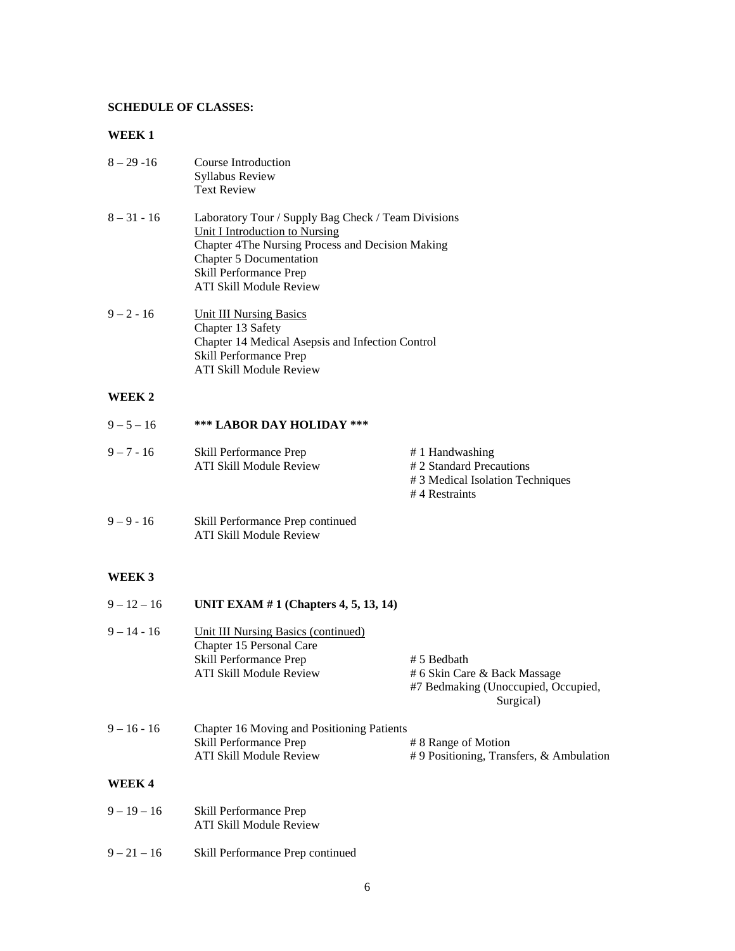#### **SCHEDULE OF CLASSES:**

### **WEEK 1**

| $8 - 29 - 16$ | Course Introduction    |
|---------------|------------------------|
|               | <b>Syllabus Review</b> |
|               | <b>Text Review</b>     |

- 8 31 16 Laboratory Tour / Supply Bag Check / Team Divisions Unit I Introduction to Nursing Chapter 4The Nursing Process and Decision Making Chapter 5 Documentation Skill Performance Prep ATI Skill Module Review
- $9 2 16$  Unit III Nursing Basics Chapter 13 Safety Chapter 14 Medical Asepsis and Infection Control Skill Performance Prep ATI Skill Module Review

### **WEEK 2**

| $9 - 5 - 16$ | *** LABOR DAY HOLIDAY ***                         |                                                                                                  |
|--------------|---------------------------------------------------|--------------------------------------------------------------------------------------------------|
| $9 - 7 - 16$ | Skill Performance Prep<br>ATI Skill Module Review | # 1 Handwashing<br># 2 Standard Precautions<br># 3 Medical Isolation Techniques<br>#4 Restraints |

9 – 9 - 16 Skill Performance Prep continued ATI Skill Module Review

#### **WEEK 3**

| $9 - 12 - 16$ | UNIT EXAM $# 1$ (Chapters 4, 5, 13, 14)                                                                              |                                                                                                 |
|---------------|----------------------------------------------------------------------------------------------------------------------|-------------------------------------------------------------------------------------------------|
| $9 - 14 - 16$ | Unit III Nursing Basics (continued)<br>Chapter 15 Personal Care<br>Skill Performance Prep<br>ATI Skill Module Review | # 5 Bedbath<br># 6 Skin Care & Back Massage<br>#7 Bedmaking (Unoccupied, Occupied,<br>Surgical) |
| $9 - 16 - 16$ | Chapter 16 Moving and Positioning Patients<br>Skill Performance Prep<br>ATI Skill Module Review                      | # 8 Range of Motion<br>$# 9$ Positioning, Transfers, & Ambulation                               |
| WEEK 4        |                                                                                                                      |                                                                                                 |

- 9 19 16 Skill Performance Prep ATI Skill Module Review
- 9 21 16 Skill Performance Prep continued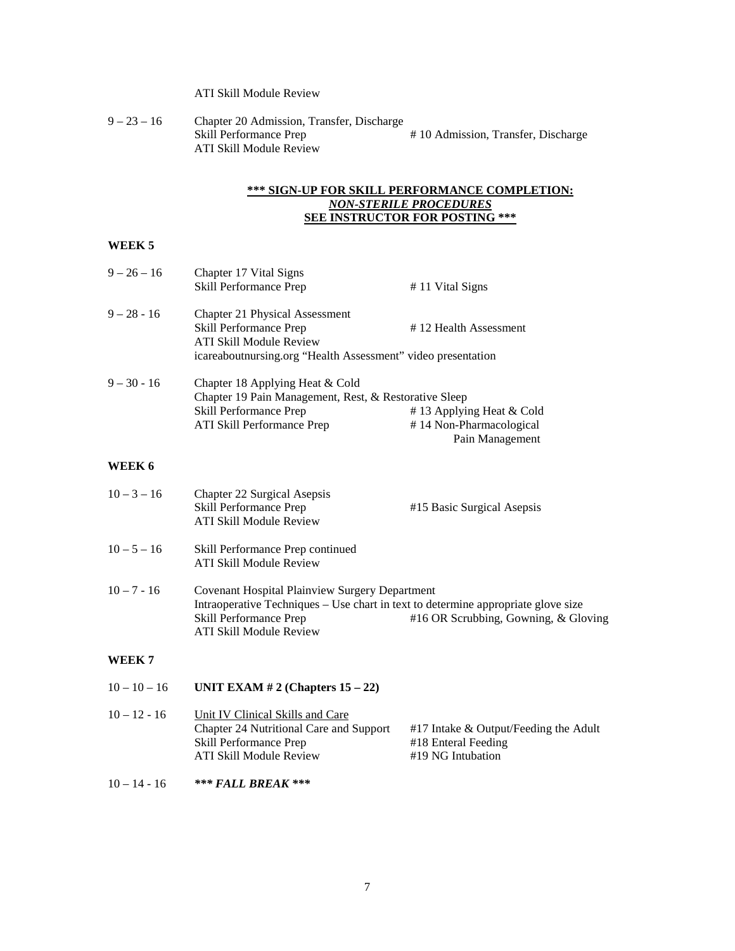# ATI Skill Module Review

| $9 - 23 - 16$ | Chapter 20 Admission, Transfer, Discharge |                                    |
|---------------|-------------------------------------------|------------------------------------|
|               | Skill Performance Prep                    | #10 Admission, Transfer, Discharge |
|               | ATI Skill Module Review                   |                                    |

#### **\*\*\* SIGN-UP FOR SKILL PERFORMANCE COMPLETION:** *NON-STERILE PROCEDURES* **SEE INSTRUCTOR FOR POSTING \*\*\***

Pain Management

# **WEEK 5**

| $9 - 26 - 16$ | Chapter 17 Vital Signs<br>Skill Performance Prep             | #11 Vital Signs          |
|---------------|--------------------------------------------------------------|--------------------------|
| $9 - 28 - 16$ | <b>Chapter 21 Physical Assessment</b>                        |                          |
|               | Skill Performance Prep                                       | #12 Health Assessment    |
|               | ATI Skill Module Review                                      |                          |
|               | icareaboutnursing.org "Health Assessment" video presentation |                          |
| $9 - 30 - 16$ | Chapter 18 Applying Heat & Cold                              |                          |
|               | Chapter 19 Pain Management, Rest, & Restorative Sleep        |                          |
|               | Skill Performance Prep                                       | #13 Applying Heat & Cold |
|               | ATI Skill Performance Prep                                   | #14 Non-Pharmacological  |

#### **WEEK 6**

| $10 - 3 - 16$  | Chapter 22 Surgical Asepsis<br>Skill Performance Prep<br>ATI Skill Module Review                                         | #15 Basic Surgical Asepsis                                                                                                |
|----------------|--------------------------------------------------------------------------------------------------------------------------|---------------------------------------------------------------------------------------------------------------------------|
| $10 - 5 - 16$  | Skill Performance Prep continued<br>ATI Skill Module Review                                                              |                                                                                                                           |
| $10 - 7 - 16$  | <b>Covenant Hospital Plainview Surgery Department</b><br><b>Skill Performance Prep</b><br><b>ATI Skill Module Review</b> | Intraoperative Techniques – Use chart in text to determine appropriate glove size<br>#16 OR Scrubbing, Gowning, & Gloving |
| WEEK 7         |                                                                                                                          |                                                                                                                           |
| $10 - 10 - 16$ | UNIT EXAM $# 2$ (Chapters 15 – 22)                                                                                       |                                                                                                                           |
|                |                                                                                                                          |                                                                                                                           |

| $10 - 12 - 16$ | Unit IV Clinical Skills and Care        |                                         |
|----------------|-----------------------------------------|-----------------------------------------|
|                | Chapter 24 Nutritional Care and Support | $#17$ Intake & Output/Feeding the Adult |
|                | Skill Performance Prep                  | #18 Enteral Feeding                     |
|                | ATI Skill Module Review                 | #19 NG Intubation                       |
|                |                                         |                                         |

10 – 14 - 16 *\*\*\* FALL BREAK \*\*\**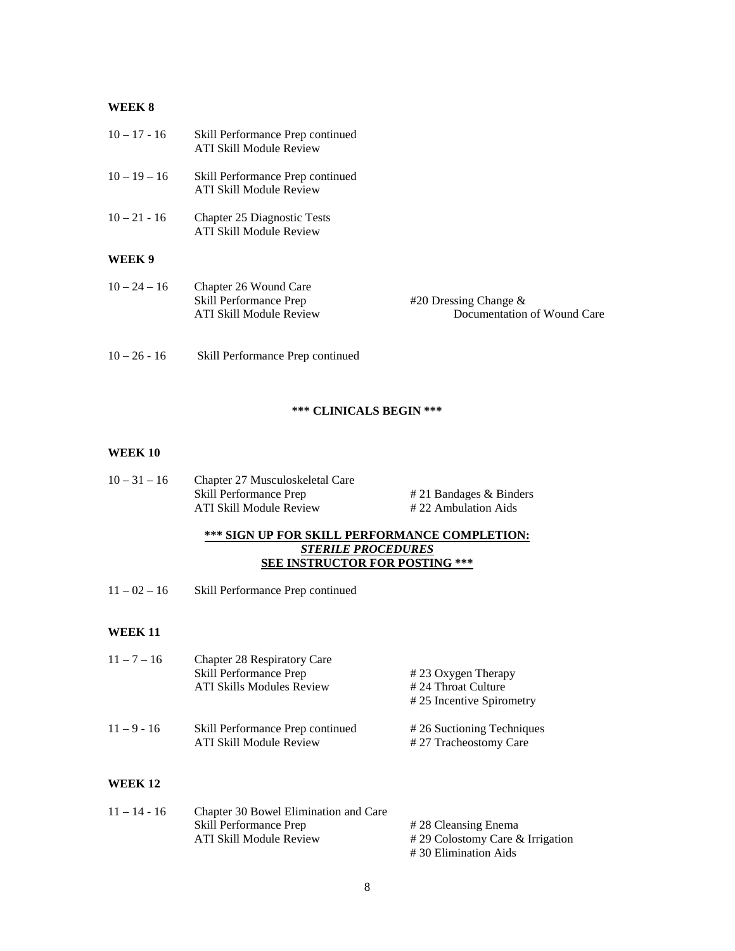### **WEEK 8**

| $10 - 17 - 16$ | Skill Performance Prep continued<br><b>ATI Skill Module Review</b>         |                                                         |
|----------------|----------------------------------------------------------------------------|---------------------------------------------------------|
| $10 - 19 - 16$ | Skill Performance Prep continued<br>ATI Skill Module Review                |                                                         |
| $10 - 21 - 16$ | <b>Chapter 25 Diagnostic Tests</b><br><b>ATI Skill Module Review</b>       |                                                         |
| WEEK 9         |                                                                            |                                                         |
| $10 - 24 - 16$ | Chapter 26 Wound Care<br>Skill Performance Prep<br>ATI Skill Module Review | #20 Dressing Change $\&$<br>Documentation of Wound Care |
| $10 - 26 - 16$ | Skill Performance Prep continued                                           |                                                         |

### **\*\*\* CLINICALS BEGIN \*\*\***

### **WEEK 10**

10 – 31 – 16 Chapter 27 Musculoskeletal Care ATI Skill Module Review

 $# 21$  Bandages & Binders<br> $# 22$  Ambulation Aids

### **\*\*\* SIGN UP FOR SKILL PERFORMANCE COMPLETION:** *STERILE PROCEDURES* **SEE INSTRUCTOR FOR POSTING \*\*\***

11 – 02 – 16 Skill Performance Prep continued

#### **WEEK 11**

| $11 - 7 - 16$ | Chapter 28 Respiratory Care<br>Skill Performance Prep<br>ATI Skills Modules Review | #23 Oxygen Therapy<br># 24 Throat Culture                                      |
|---------------|------------------------------------------------------------------------------------|--------------------------------------------------------------------------------|
| $11 - 9 - 16$ | Skill Performance Prep continued<br>ATI Skill Module Review                        | #25 Incentive Spirometry<br>#26 Suctioning Techniques<br>#27 Tracheostomy Care |

#### **WEEK 12**

| $11 - 14 - 16$ | Chapter 30 Bowel Elimination and Care |                                     |
|----------------|---------------------------------------|-------------------------------------|
|                | Skill Performance Prep                | #28 Cleansing Enema                 |
|                | ATI Skill Module Review               | $\#$ 29 Colostomy Care & Irrigation |
|                |                                       | #30 Elimination Aids                |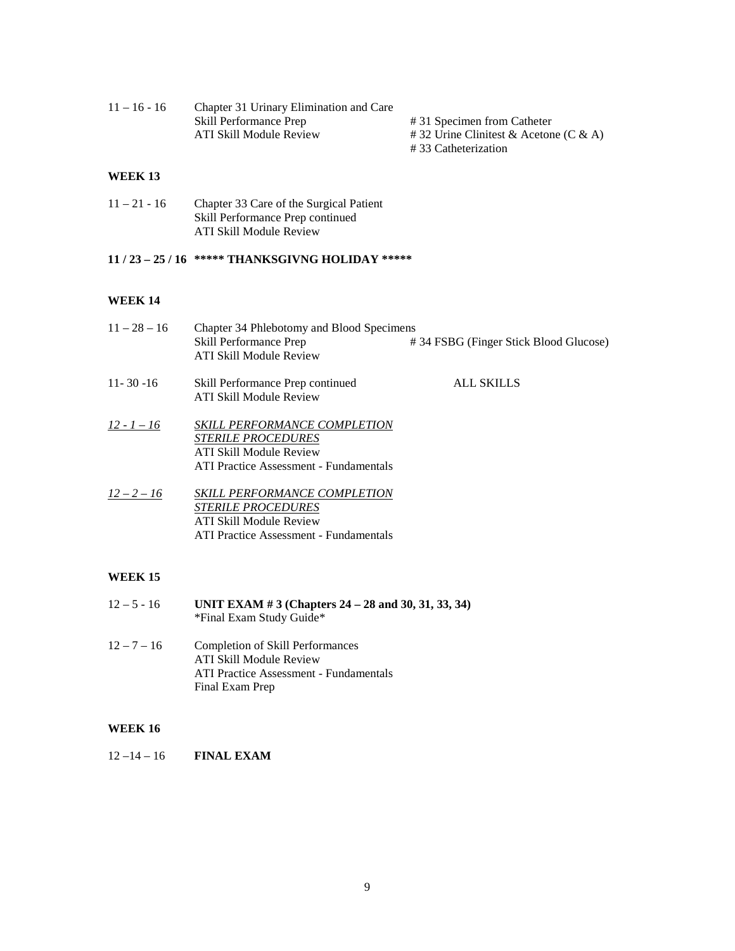| $11 - 16 - 16$ | Chapter 31 Urinary Elimination and Care |                                           |  |
|----------------|-----------------------------------------|-------------------------------------------|--|
|                | Skill Performance Prep                  | #31 Specimen from Catheter                |  |
|                | ATI Skill Module Review                 | $\#$ 32 Urine Clinitest & Acetone (C & A) |  |
|                |                                         | #33 Catheterization                       |  |

### **WEEK 13**

| $11 - 21 - 16$ | Chapter 33 Care of the Surgical Patient |
|----------------|-----------------------------------------|
|                | Skill Performance Prep continued        |
|                | ATI Skill Module Review                 |

# **11 / 23 – 25 / 16 \*\*\*\*\* THANKSGIVNG HOLIDAY \*\*\*\*\***

### **WEEK 14**

| $11 - 28 - 16$ | Chapter 34 Phlebotomy and Blood Specimens<br>Skill Performance Prep<br><b>ATI Skill Module Review</b>                                               | #34 FSBG (Finger Stick Blood Glucose) |
|----------------|-----------------------------------------------------------------------------------------------------------------------------------------------------|---------------------------------------|
| $11 - 30 - 16$ | Skill Performance Prep continued<br>ATI Skill Module Review                                                                                         | ALL SKILLS                            |
| $12 - 1 - 16$  | <b>SKILL PERFORMANCE COMPLETION</b><br><b>STERILE PROCEDURES</b><br><b>ATI Skill Module Review</b><br><b>ATI Practice Assessment - Fundamentals</b> |                                       |
| $12 - 2 - 16$  | <b>SKILL PERFORMANCE COMPLETION</b><br><b>STERILE PROCEDURES</b><br>ATI Skill Module Review<br>ATI Practice Assessment - Fundamentals               |                                       |

# **WEEK 15**

| $12 - 5 - 16$ | UNIT EXAM # 3 (Chapters $24 - 28$ and 30, 31, 33, 34)<br>*Final Exam Study Guide*                                               |
|---------------|---------------------------------------------------------------------------------------------------------------------------------|
| $12 - 7 - 16$ | Completion of Skill Performances<br>ATI Skill Module Review<br><b>ATI Practice Assessment - Fundamentals</b><br>Final Exam Prep |

### **WEEK 16**

12 –14 – 16 **FINAL EXAM**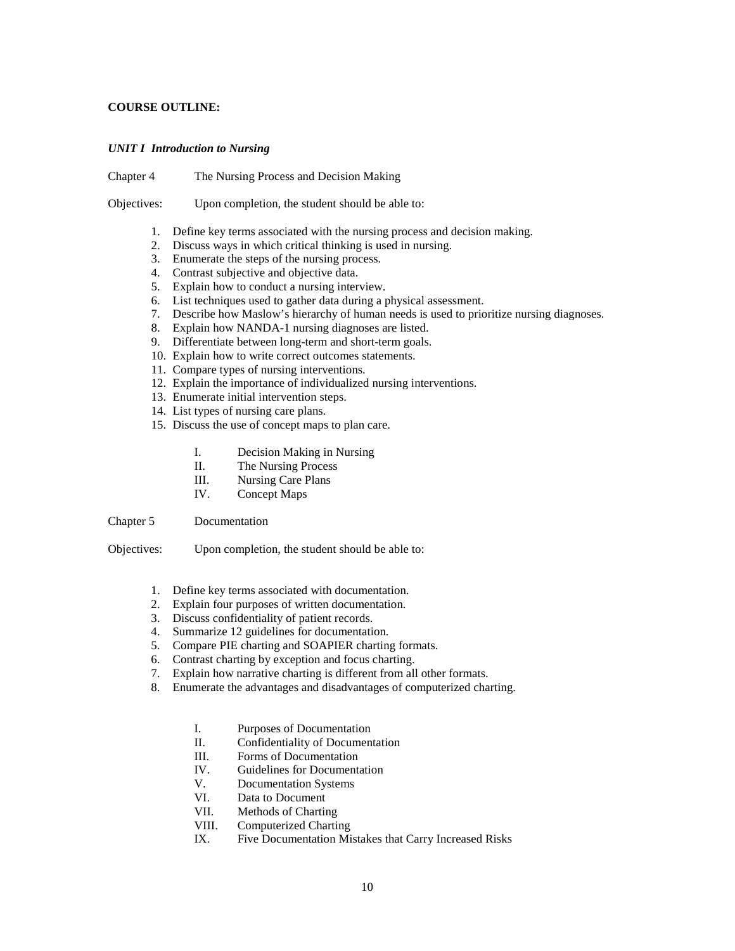#### **COURSE OUTLINE:**

#### *UNIT I Introduction to Nursing*

Chapter 4 The Nursing Process and Decision Making

Objectives: Upon completion, the student should be able to:

- 1. Define key terms associated with the nursing process and decision making.
- 2. Discuss ways in which critical thinking is used in nursing.
- 3. Enumerate the steps of the nursing process.
- 4. Contrast subjective and objective data.
- 5. Explain how to conduct a nursing interview.
- 6. List techniques used to gather data during a physical assessment.
- 7. Describe how Maslow's hierarchy of human needs is used to prioritize nursing diagnoses.
- 8. Explain how NANDA-1 nursing diagnoses are listed.
- 9. Differentiate between long-term and short-term goals.
- 10. Explain how to write correct outcomes statements.
- 11. Compare types of nursing interventions.
- 12. Explain the importance of individualized nursing interventions.
- 13. Enumerate initial intervention steps.
- 14. List types of nursing care plans.
- 15. Discuss the use of concept maps to plan care.
	- I. Decision Making in Nursing
	- II. The Nursing Process
	- III. Nursing Care Plans
	- IV. Concept Maps

Chapter 5 Documentation

- 1. Define key terms associated with documentation.
- 2. Explain four purposes of written documentation.
- 3. Discuss confidentiality of patient records.
- 4. Summarize 12 guidelines for documentation.
- 5. Compare PIE charting and SOAPIER charting formats.
- 6. Contrast charting by exception and focus charting.
- 7. Explain how narrative charting is different from all other formats.
- 8. Enumerate the advantages and disadvantages of computerized charting.
	- I. Purposes of Documentation
	- II. Confidentiality of Documentation
	- III. Forms of Documentation
	- IV. Guidelines for Documentation
	- V. Documentation Systems
	- VI. Data to Document
	- VII. Methods of Charting
	- VIII. Computerized Charting<br>IX. Five Documentation Mis
	- Five Documentation Mistakes that Carry Increased Risks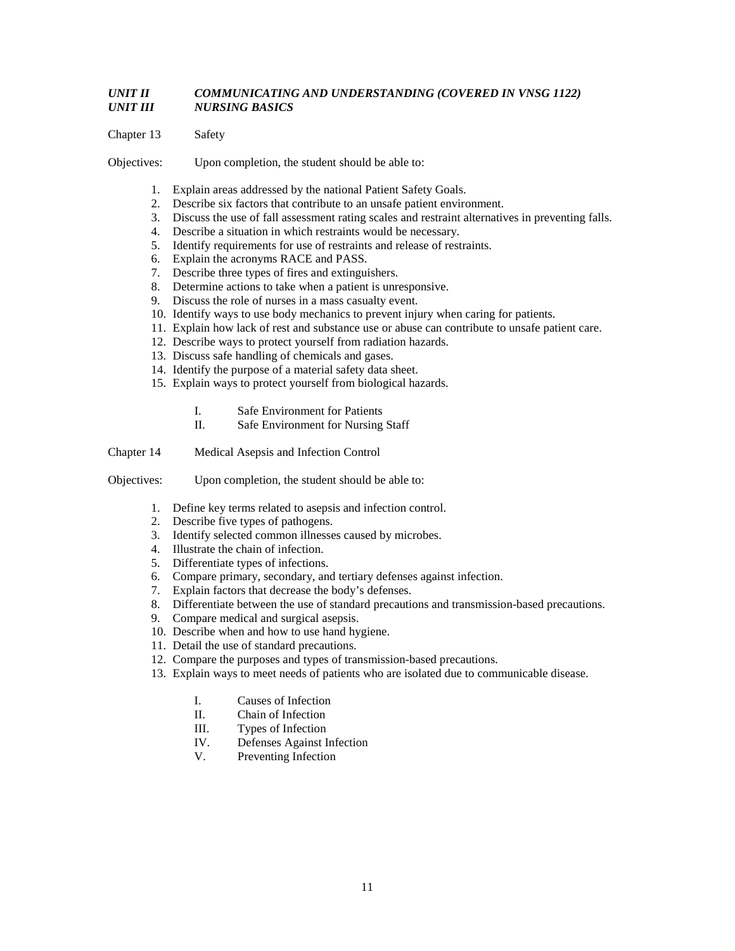### *UNIT II COMMUNICATING AND UNDERSTANDING (COVERED IN VNSG 1122) UNIT III NURSING BASICS*

Chapter 13 Safety

- 1. Explain areas addressed by the national Patient Safety Goals.
- 2. Describe six factors that contribute to an unsafe patient environment.
- 3. Discuss the use of fall assessment rating scales and restraint alternatives in preventing falls.
- 4. Describe a situation in which restraints would be necessary.
- 5. Identify requirements for use of restraints and release of restraints.
- 6. Explain the acronyms RACE and PASS.
- 7. Describe three types of fires and extinguishers.
- 8. Determine actions to take when a patient is unresponsive.
- 9. Discuss the role of nurses in a mass casualty event.
- 10. Identify ways to use body mechanics to prevent injury when caring for patients.
- 11. Explain how lack of rest and substance use or abuse can contribute to unsafe patient care.
- 12. Describe ways to protect yourself from radiation hazards.
- 13. Discuss safe handling of chemicals and gases.
- 14. Identify the purpose of a material safety data sheet.
- 15. Explain ways to protect yourself from biological hazards.
	- I. Safe Environment for Patients
	- II. Safe Environment for Nursing Staff
- Chapter 14 Medical Asepsis and Infection Control
- Objectives: Upon completion, the student should be able to:
	- 1. Define key terms related to asepsis and infection control.
	- 2. Describe five types of pathogens.
	- 3. Identify selected common illnesses caused by microbes.
	- 4. Illustrate the chain of infection.
	- 5. Differentiate types of infections.
	- 6. Compare primary, secondary, and tertiary defenses against infection.
	- 7. Explain factors that decrease the body's defenses.
	- 8. Differentiate between the use of standard precautions and transmission-based precautions.
	- 9. Compare medical and surgical asepsis.
	- 10. Describe when and how to use hand hygiene.
	- 11. Detail the use of standard precautions.
	- 12. Compare the purposes and types of transmission-based precautions.
	- 13. Explain ways to meet needs of patients who are isolated due to communicable disease.
		- I. Causes of Infection
		- II. Chain of Infection
		- III. Types of Infection
		- IV. Defenses Against Infection
		- V. Preventing Infection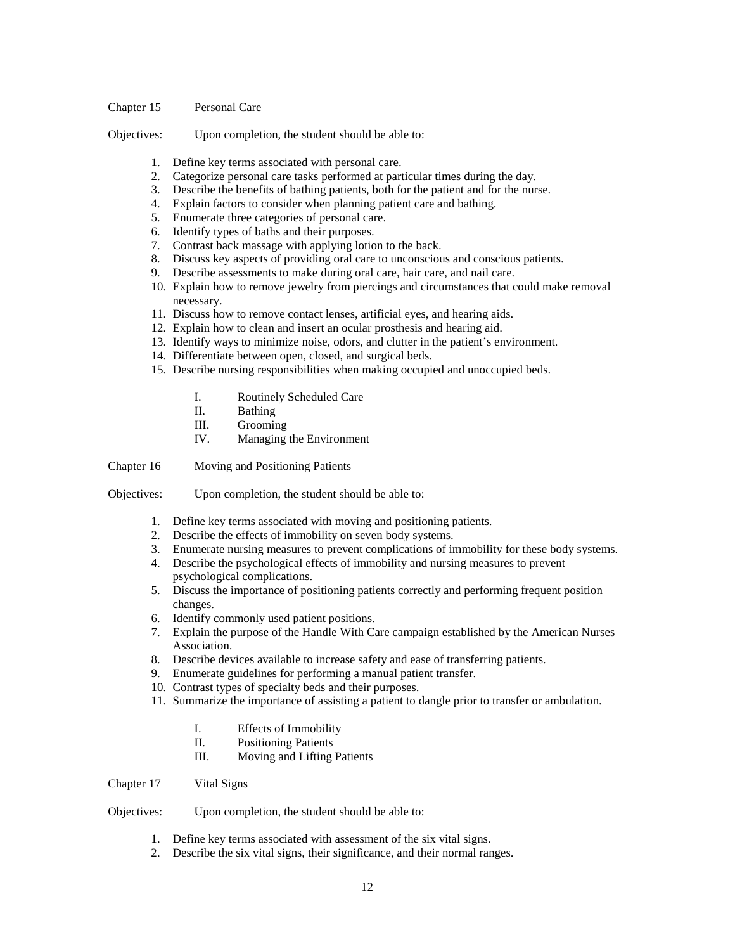#### Chapter 15 Personal Care

Objectives: Upon completion, the student should be able to:

- 1. Define key terms associated with personal care.
- 2. Categorize personal care tasks performed at particular times during the day.
- 3. Describe the benefits of bathing patients, both for the patient and for the nurse.
- 4. Explain factors to consider when planning patient care and bathing.
- 5. Enumerate three categories of personal care.
- 6. Identify types of baths and their purposes.
- 7. Contrast back massage with applying lotion to the back.
- 8. Discuss key aspects of providing oral care to unconscious and conscious patients.
- 9. Describe assessments to make during oral care, hair care, and nail care.
- 10. Explain how to remove jewelry from piercings and circumstances that could make removal necessary.
- 11. Discuss how to remove contact lenses, artificial eyes, and hearing aids.
- 12. Explain how to clean and insert an ocular prosthesis and hearing aid.
- 13. Identify ways to minimize noise, odors, and clutter in the patient's environment.
- 14. Differentiate between open, closed, and surgical beds.
- 15. Describe nursing responsibilities when making occupied and unoccupied beds.
	- I. Routinely Scheduled Care
	- II. Bathing
	- III. Grooming<br>IV. Managing
	- Managing the Environment

Chapter 16 Moving and Positioning Patients

Objectives: Upon completion, the student should be able to:

- 1. Define key terms associated with moving and positioning patients.
- 2. Describe the effects of immobility on seven body systems.
- 3. Enumerate nursing measures to prevent complications of immobility for these body systems.
- 4. Describe the psychological effects of immobility and nursing measures to prevent psychological complications.
- 5. Discuss the importance of positioning patients correctly and performing frequent position changes.
- 6. Identify commonly used patient positions.
- 7. Explain the purpose of the Handle With Care campaign established by the American Nurses Association.
- 8. Describe devices available to increase safety and ease of transferring patients.
- 9. Enumerate guidelines for performing a manual patient transfer.
- 10. Contrast types of specialty beds and their purposes.
- 11. Summarize the importance of assisting a patient to dangle prior to transfer or ambulation.
	- I. Effects of Immobility
	- II. Positioning Patients
	- III. Moving and Lifting Patients

Chapter 17 Vital Signs

- 1. Define key terms associated with assessment of the six vital signs.
- 2. Describe the six vital signs, their significance, and their normal ranges.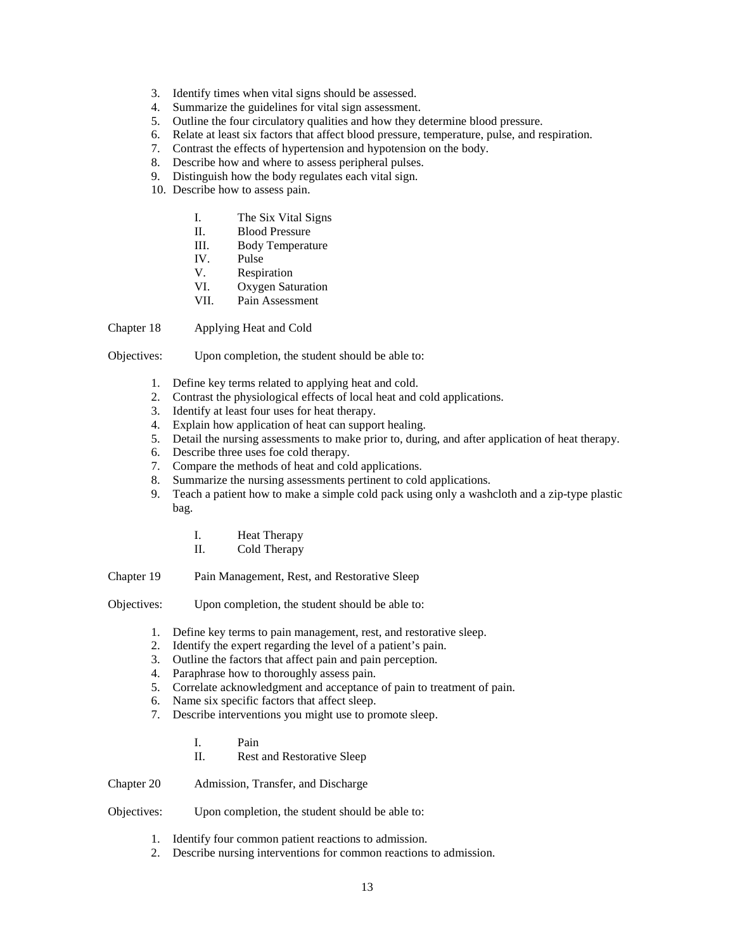- 3. Identify times when vital signs should be assessed.
- 4. Summarize the guidelines for vital sign assessment.
- 5. Outline the four circulatory qualities and how they determine blood pressure.
- 6. Relate at least six factors that affect blood pressure, temperature, pulse, and respiration.
- 7. Contrast the effects of hypertension and hypotension on the body.
- 8. Describe how and where to assess peripheral pulses.
- 9. Distinguish how the body regulates each vital sign.
- 10. Describe how to assess pain.
	- I. The Six Vital Signs
	- II. Blood Pressure
	- III. Body Temperature
	- IV. Pulse
	- V. Respiration
	- VI. Oxygen Saturation
	- VII. Pain Assessment

Chapter 18 Applying Heat and Cold

Objectives: Upon completion, the student should be able to:

- 1. Define key terms related to applying heat and cold.
- 2. Contrast the physiological effects of local heat and cold applications.
- 3. Identify at least four uses for heat therapy.
- 4. Explain how application of heat can support healing.
- 5. Detail the nursing assessments to make prior to, during, and after application of heat therapy.
- 6. Describe three uses foe cold therapy.
- 7. Compare the methods of heat and cold applications.
- 8. Summarize the nursing assessments pertinent to cold applications.
- 9. Teach a patient how to make a simple cold pack using only a washcloth and a zip-type plastic bag.
	- I. Heat Therapy
	- II. Cold Therapy
- Chapter 19 Pain Management, Rest, and Restorative Sleep
- Objectives: Upon completion, the student should be able to:
	- 1. Define key terms to pain management, rest, and restorative sleep.
	- 2. Identify the expert regarding the level of a patient's pain.
	- 3. Outline the factors that affect pain and pain perception.
	- 4. Paraphrase how to thoroughly assess pain.
	- 5. Correlate acknowledgment and acceptance of pain to treatment of pain.
	- 6. Name six specific factors that affect sleep.
	- 7. Describe interventions you might use to promote sleep.
		- I. Pain
		- II. Rest and Restorative Sleep

Chapter 20 Admission, Transfer, and Discharge

- Objectives: Upon completion, the student should be able to:
	- 1. Identify four common patient reactions to admission.
	- 2. Describe nursing interventions for common reactions to admission.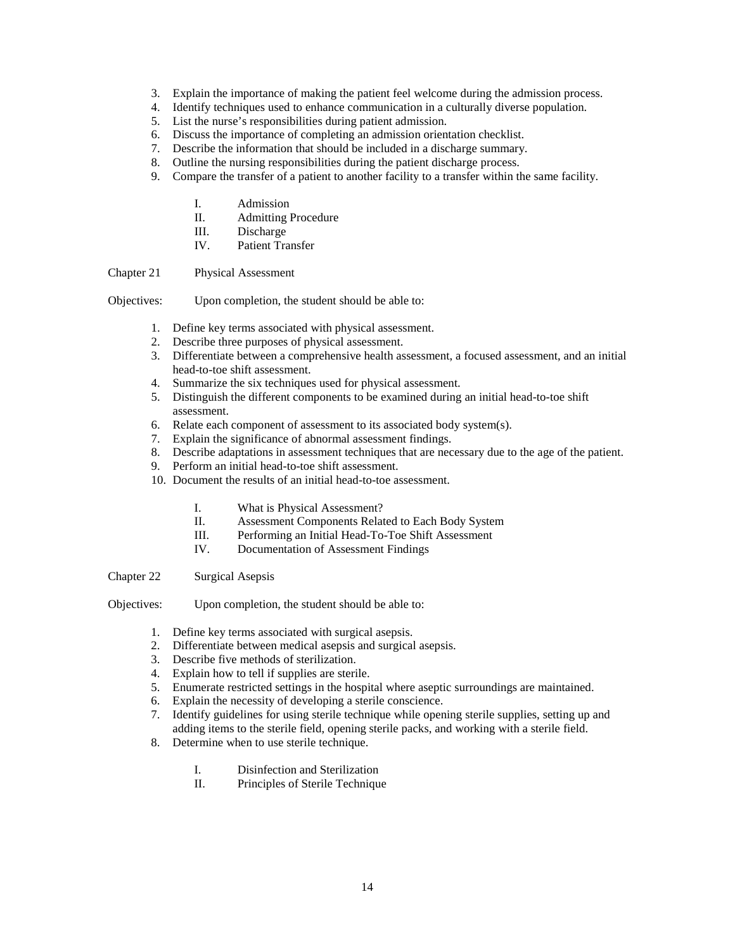- 3. Explain the importance of making the patient feel welcome during the admission process.
- 4. Identify techniques used to enhance communication in a culturally diverse population.
- 5. List the nurse's responsibilities during patient admission.
- 6. Discuss the importance of completing an admission orientation checklist.
- 7. Describe the information that should be included in a discharge summary.
- 8. Outline the nursing responsibilities during the patient discharge process.
- 9. Compare the transfer of a patient to another facility to a transfer within the same facility.
	- I. Admission
	- II. Admitting Procedure
	- III. Discharge
	- IV. Patient Transfer

Chapter 21 Physical Assessment

Objectives: Upon completion, the student should be able to:

- 1. Define key terms associated with physical assessment.
- 2. Describe three purposes of physical assessment.
- 3. Differentiate between a comprehensive health assessment, a focused assessment, and an initial head-to-toe shift assessment.
- 4. Summarize the six techniques used for physical assessment.
- 5. Distinguish the different components to be examined during an initial head-to-toe shift assessment.
- 6. Relate each component of assessment to its associated body system(s).
- 7. Explain the significance of abnormal assessment findings.
- 8. Describe adaptations in assessment techniques that are necessary due to the age of the patient.
- 9. Perform an initial head-to-toe shift assessment.
- 10. Document the results of an initial head-to-toe assessment.
	- I. What is Physical Assessment?
	- II. Assessment Components Related to Each Body System
	- III. Performing an Initial Head-To-Toe Shift Assessment
	- IV. Documentation of Assessment Findings

Chapter 22 Surgical Asepsis

- 1. Define key terms associated with surgical asepsis.
- 2. Differentiate between medical asepsis and surgical asepsis.
- 3. Describe five methods of sterilization.
- 4. Explain how to tell if supplies are sterile.
- 5. Enumerate restricted settings in the hospital where aseptic surroundings are maintained.
- 6. Explain the necessity of developing a sterile conscience.
- 7. Identify guidelines for using sterile technique while opening sterile supplies, setting up and adding items to the sterile field, opening sterile packs, and working with a sterile field.
- 8. Determine when to use sterile technique.
	- I. Disinfection and Sterilization
	- II. Principles of Sterile Technique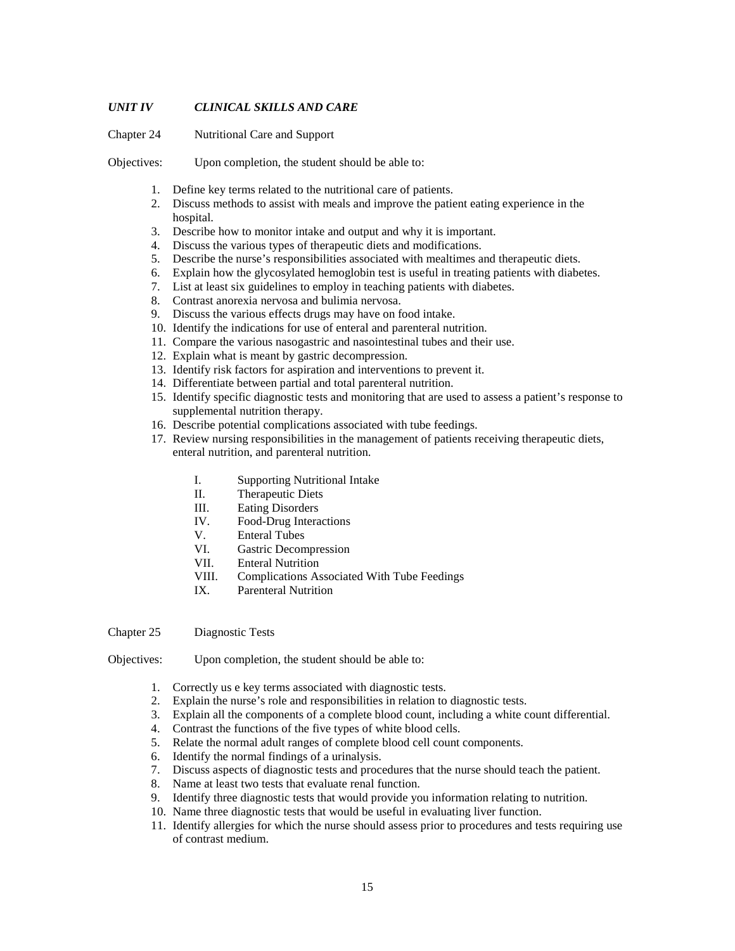### *UNIT IV CLINICAL SKILLS AND CARE*

Chapter 24 Nutritional Care and Support

Objectives: Upon completion, the student should be able to:

- 1. Define key terms related to the nutritional care of patients.
- 2. Discuss methods to assist with meals and improve the patient eating experience in the hospital.
- 3. Describe how to monitor intake and output and why it is important.
- 4. Discuss the various types of therapeutic diets and modifications.
- 5. Describe the nurse's responsibilities associated with mealtimes and therapeutic diets.
- 6. Explain how the glycosylated hemoglobin test is useful in treating patients with diabetes.
- 7. List at least six guidelines to employ in teaching patients with diabetes.
- 8. Contrast anorexia nervosa and bulimia nervosa.
- 9. Discuss the various effects drugs may have on food intake.
- 10. Identify the indications for use of enteral and parenteral nutrition.
- 11. Compare the various nasogastric and nasointestinal tubes and their use.
- 12. Explain what is meant by gastric decompression.
- 13. Identify risk factors for aspiration and interventions to prevent it.
- 14. Differentiate between partial and total parenteral nutrition.
- 15. Identify specific diagnostic tests and monitoring that are used to assess a patient's response to supplemental nutrition therapy.
- 16. Describe potential complications associated with tube feedings.
- 17. Review nursing responsibilities in the management of patients receiving therapeutic diets, enteral nutrition, and parenteral nutrition.
	- I. Supporting Nutritional Intake
	- II. Therapeutic Diets
	- III. Eating Disorders
	- IV. Food-Drug Interactions
	- V. Enteral Tubes
	- VI. Gastric Decompression<br>VII. Enteral Nutrition
	- **Enteral Nutrition**
	- VIII. Complications Associated With Tube Feedings
	- IX. Parenteral Nutrition

Chapter 25 Diagnostic Tests

- 1. Correctly us e key terms associated with diagnostic tests.
- 2. Explain the nurse's role and responsibilities in relation to diagnostic tests.
- 3. Explain all the components of a complete blood count, including a white count differential.
- 4. Contrast the functions of the five types of white blood cells.
- 5. Relate the normal adult ranges of complete blood cell count components.
- 6. Identify the normal findings of a urinalysis.
- 7. Discuss aspects of diagnostic tests and procedures that the nurse should teach the patient.
- 8. Name at least two tests that evaluate renal function.
- 9. Identify three diagnostic tests that would provide you information relating to nutrition.
- 10. Name three diagnostic tests that would be useful in evaluating liver function.
- 11. Identify allergies for which the nurse should assess prior to procedures and tests requiring use of contrast medium.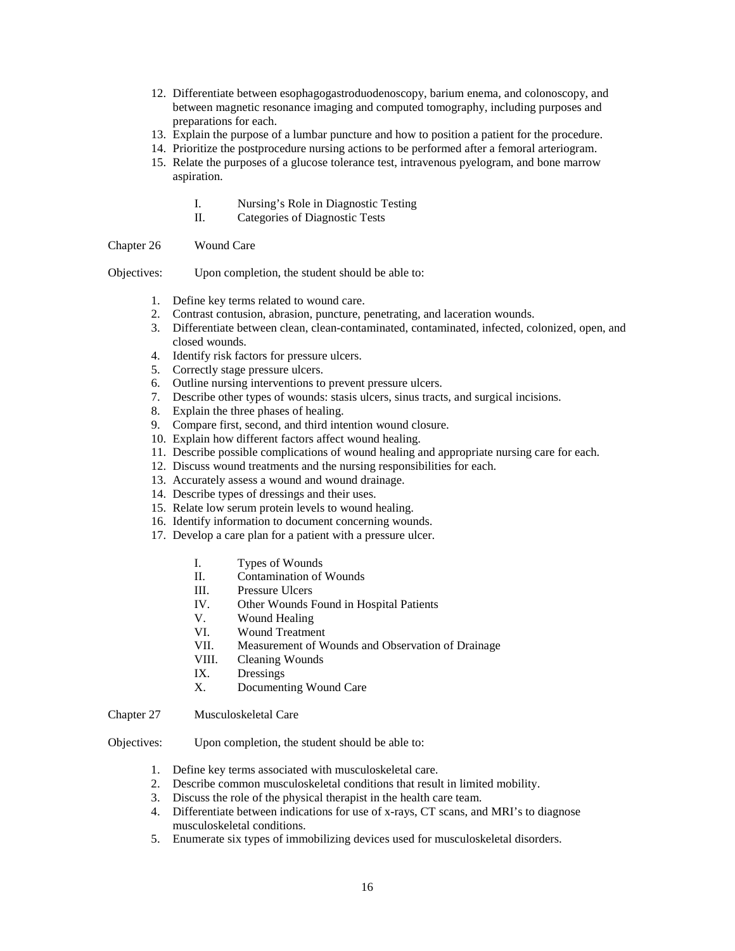- 12. Differentiate between esophagogastroduodenoscopy, barium enema, and colonoscopy, and between magnetic resonance imaging and computed tomography, including purposes and preparations for each.
- 13. Explain the purpose of a lumbar puncture and how to position a patient for the procedure.
- 14. Prioritize the postprocedure nursing actions to be performed after a femoral arteriogram.
- 15. Relate the purposes of a glucose tolerance test, intravenous pyelogram, and bone marrow aspiration.
	- I. Nursing's Role in Diagnostic Testing
	- II. Categories of Diagnostic Tests

Chapter 26 Wound Care

Objectives: Upon completion, the student should be able to:

- 1. Define key terms related to wound care.
- 2. Contrast contusion, abrasion, puncture, penetrating, and laceration wounds.
- 3. Differentiate between clean, clean-contaminated, contaminated, infected, colonized, open, and closed wounds.
- 4. Identify risk factors for pressure ulcers.
- 5. Correctly stage pressure ulcers.
- 6. Outline nursing interventions to prevent pressure ulcers.
- 7. Describe other types of wounds: stasis ulcers, sinus tracts, and surgical incisions.
- 8. Explain the three phases of healing.
- 9. Compare first, second, and third intention wound closure.
- 10. Explain how different factors affect wound healing.
- 11. Describe possible complications of wound healing and appropriate nursing care for each.
- 12. Discuss wound treatments and the nursing responsibilities for each.
- 13. Accurately assess a wound and wound drainage.
- 14. Describe types of dressings and their uses.
- 15. Relate low serum protein levels to wound healing.
- 16. Identify information to document concerning wounds.
- 17. Develop a care plan for a patient with a pressure ulcer.
	- I. Types of Wounds
	- II. Contamination of Wounds
	- III. Pressure Ulcers
	- IV. Other Wounds Found in Hospital Patients
	- V. Wound Healing
	- VI. Wound Treatment
	- VII. Measurement of Wounds and Observation of Drainage
	- VIII. Cleaning Wounds
	- IX. Dressings<br>X. Document
	- Documenting Wound Care
- Chapter 27 Musculoskeletal Care

- 1. Define key terms associated with musculoskeletal care.
- 2. Describe common musculoskeletal conditions that result in limited mobility.
- 3. Discuss the role of the physical therapist in the health care team.
- 4. Differentiate between indications for use of x-rays, CT scans, and MRI's to diagnose musculoskeletal conditions.
- 5. Enumerate six types of immobilizing devices used for musculoskeletal disorders.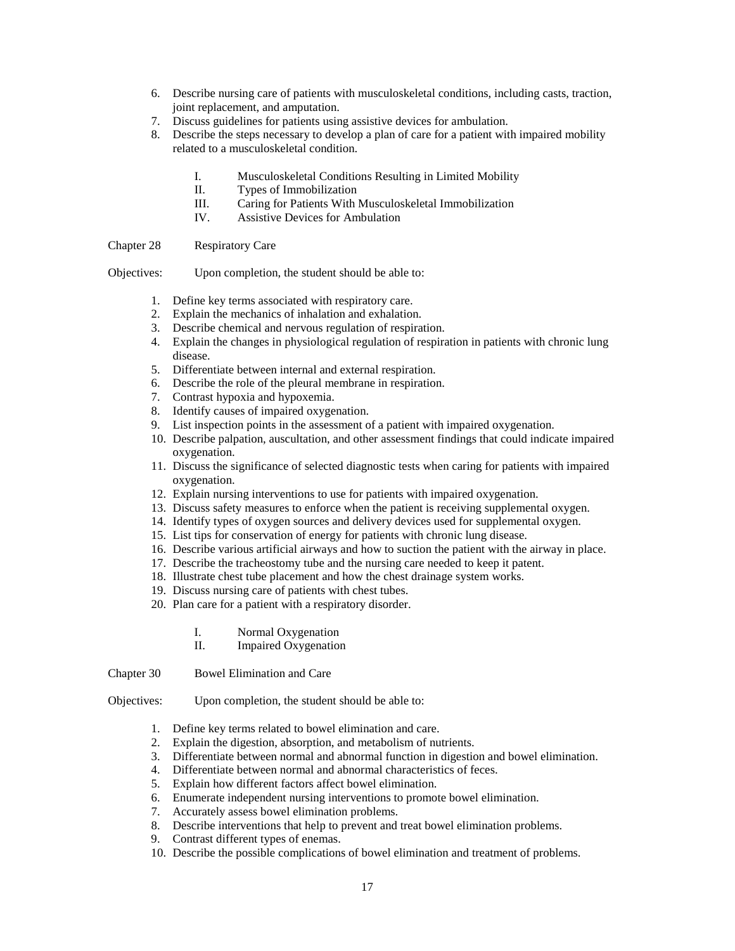- 6. Describe nursing care of patients with musculoskeletal conditions, including casts, traction, joint replacement, and amputation.
- 7. Discuss guidelines for patients using assistive devices for ambulation.
- 8. Describe the steps necessary to develop a plan of care for a patient with impaired mobility related to a musculoskeletal condition.
	- I. Musculoskeletal Conditions Resulting in Limited Mobility
	- II. Types of Immobilization
	- III. Caring for Patients With Musculoskeletal Immobilization
	- IV. Assistive Devices for Ambulation

Chapter 28 Respiratory Care

Objectives: Upon completion, the student should be able to:

- 1. Define key terms associated with respiratory care.
- 2. Explain the mechanics of inhalation and exhalation.
- 3. Describe chemical and nervous regulation of respiration.
- 4. Explain the changes in physiological regulation of respiration in patients with chronic lung disease.
- 5. Differentiate between internal and external respiration.
- 6. Describe the role of the pleural membrane in respiration.
- 7. Contrast hypoxia and hypoxemia.
- 8. Identify causes of impaired oxygenation.
- 9. List inspection points in the assessment of a patient with impaired oxygenation.
- 10. Describe palpation, auscultation, and other assessment findings that could indicate impaired oxygenation.
- 11. Discuss the significance of selected diagnostic tests when caring for patients with impaired oxygenation.
- 12. Explain nursing interventions to use for patients with impaired oxygenation.
- 13. Discuss safety measures to enforce when the patient is receiving supplemental oxygen.
- 14. Identify types of oxygen sources and delivery devices used for supplemental oxygen.
- 15. List tips for conservation of energy for patients with chronic lung disease.
- 16. Describe various artificial airways and how to suction the patient with the airway in place.
- 17. Describe the tracheostomy tube and the nursing care needed to keep it patent.
- 18. Illustrate chest tube placement and how the chest drainage system works.
- 19. Discuss nursing care of patients with chest tubes.
- 20. Plan care for a patient with a respiratory disorder.
	- I. Normal Oxygenation
	- II. Impaired Oxygenation
- Chapter 30 Bowel Elimination and Care

- 1. Define key terms related to bowel elimination and care.
- 2. Explain the digestion, absorption, and metabolism of nutrients.
- 3. Differentiate between normal and abnormal function in digestion and bowel elimination.
- 4. Differentiate between normal and abnormal characteristics of feces.
- 5. Explain how different factors affect bowel elimination.
- 6. Enumerate independent nursing interventions to promote bowel elimination.
- 7. Accurately assess bowel elimination problems.
- 8. Describe interventions that help to prevent and treat bowel elimination problems.
- 9. Contrast different types of enemas.
- 10. Describe the possible complications of bowel elimination and treatment of problems.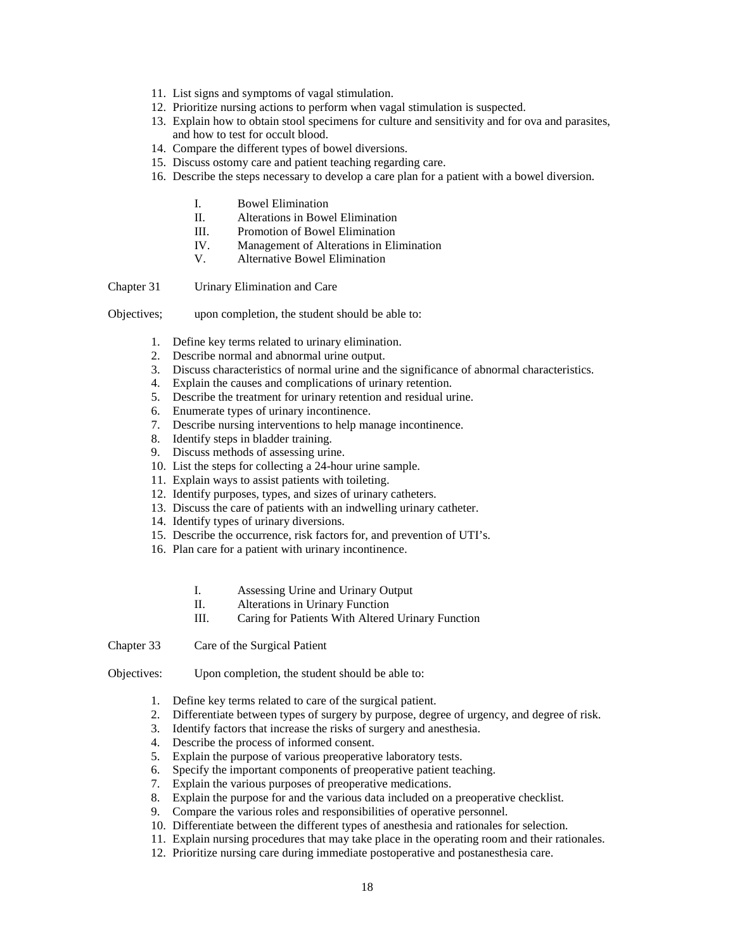- 11. List signs and symptoms of vagal stimulation.
- 12. Prioritize nursing actions to perform when vagal stimulation is suspected.
- 13. Explain how to obtain stool specimens for culture and sensitivity and for ova and parasites, and how to test for occult blood.
- 14. Compare the different types of bowel diversions.
- 15. Discuss ostomy care and patient teaching regarding care.
- 16. Describe the steps necessary to develop a care plan for a patient with a bowel diversion.
	- I. Bowel Elimination
	- II. Alterations in Bowel Elimination
	- III. Promotion of Bowel Elimination
	- IV. Management of Alterations in Elimination
	- V. Alternative Bowel Elimination

Chapter 31 Urinary Elimination and Care

- Objectives; upon completion, the student should be able to:
	- 1. Define key terms related to urinary elimination.
	- 2. Describe normal and abnormal urine output.
	- 3. Discuss characteristics of normal urine and the significance of abnormal characteristics.
	- 4. Explain the causes and complications of urinary retention.
	- 5. Describe the treatment for urinary retention and residual urine.
	- 6. Enumerate types of urinary incontinence.
	- 7. Describe nursing interventions to help manage incontinence.
	- 8. Identify steps in bladder training.
	- 9. Discuss methods of assessing urine.
	- 10. List the steps for collecting a 24-hour urine sample.
	- 11. Explain ways to assist patients with toileting.
	- 12. Identify purposes, types, and sizes of urinary catheters.
	- 13. Discuss the care of patients with an indwelling urinary catheter.
	- 14. Identify types of urinary diversions.
	- 15. Describe the occurrence, risk factors for, and prevention of UTI's.
	- 16. Plan care for a patient with urinary incontinence.
		- I. Assessing Urine and Urinary Output
		- II. Alterations in Urinary Function
		- III. Caring for Patients With Altered Urinary Function

Chapter 33 Care of the Surgical Patient

- Objectives: Upon completion, the student should be able to:
	- 1. Define key terms related to care of the surgical patient.
	- 2. Differentiate between types of surgery by purpose, degree of urgency, and degree of risk.
	- 3. Identify factors that increase the risks of surgery and anesthesia.
	- 4. Describe the process of informed consent.
	- 5. Explain the purpose of various preoperative laboratory tests.
	- 6. Specify the important components of preoperative patient teaching.
	- 7. Explain the various purposes of preoperative medications.
	- 8. Explain the purpose for and the various data included on a preoperative checklist.
	- 9. Compare the various roles and responsibilities of operative personnel.
	- 10. Differentiate between the different types of anesthesia and rationales for selection.
	- 11. Explain nursing procedures that may take place in the operating room and their rationales.
	- 12. Prioritize nursing care during immediate postoperative and postanesthesia care.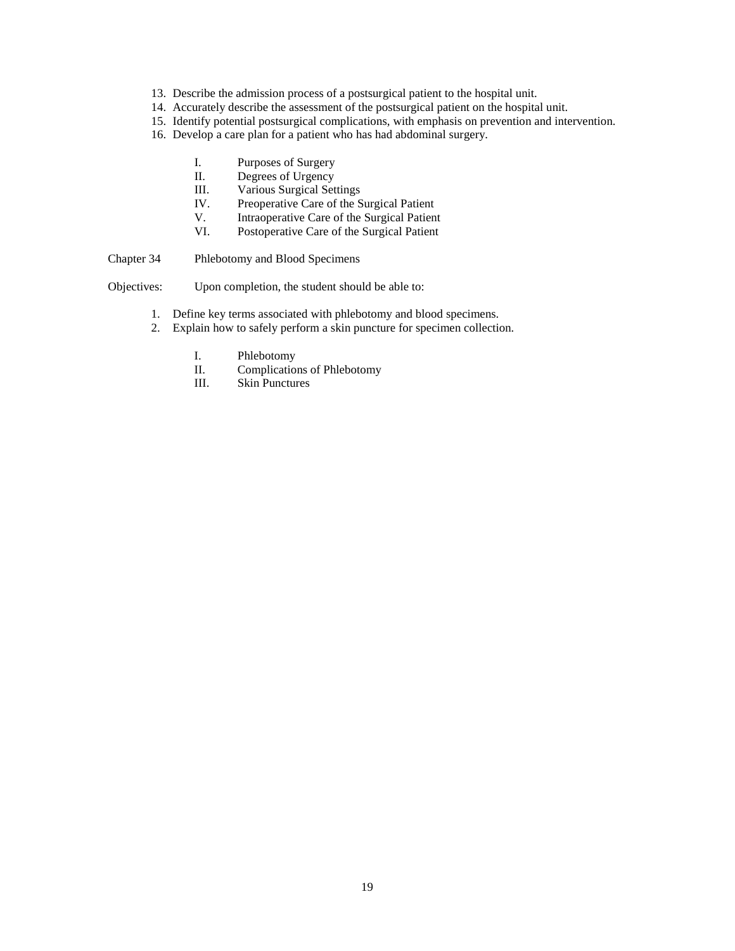- 13. Describe the admission process of a postsurgical patient to the hospital unit.
- 14. Accurately describe the assessment of the postsurgical patient on the hospital unit.
- 15. Identify potential postsurgical complications, with emphasis on prevention and intervention.
- 16. Develop a care plan for a patient who has had abdominal surgery.
	- I. Purposes of Surgery
	- II. Degrees of Urgency
	- III. Various Surgical Settings
	- IV. Preoperative Care of the Surgical Patient
	- V. Intraoperative Care of the Surgical Patient<br>VI. Postoperative Care of the Surgical Patient
	- Postoperative Care of the Surgical Patient
- Chapter 34 Phlebotomy and Blood Specimens

- 1. Define key terms associated with phlebotomy and blood specimens.
- 2. Explain how to safely perform a skin puncture for specimen collection.
	- I. Phlebotomy<br>II. Complication
	- Complications of Phlebotomy
	- III. Skin Punctures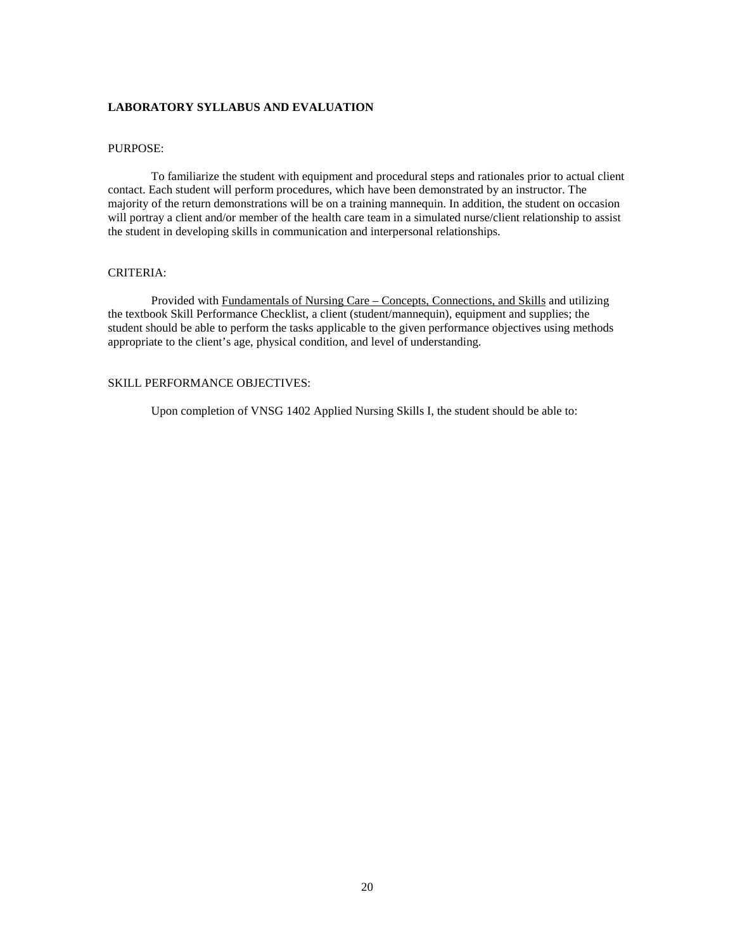#### **LABORATORY SYLLABUS AND EVALUATION**

### PURPOSE:

To familiarize the student with equipment and procedural steps and rationales prior to actual client contact. Each student will perform procedures, which have been demonstrated by an instructor. The majority of the return demonstrations will be on a training mannequin. In addition, the student on occasion will portray a client and/or member of the health care team in a simulated nurse/client relationship to assist the student in developing skills in communication and interpersonal relationships.

#### CRITERIA:

Provided with Fundamentals of Nursing Care – Concepts, Connections, and Skills and utilizing the textbook Skill Performance Checklist, a client (student/mannequin), equipment and supplies; the student should be able to perform the tasks applicable to the given performance objectives using methods appropriate to the client's age, physical condition, and level of understanding.

#### SKILL PERFORMANCE OBJECTIVES:

Upon completion of VNSG 1402 Applied Nursing Skills I, the student should be able to: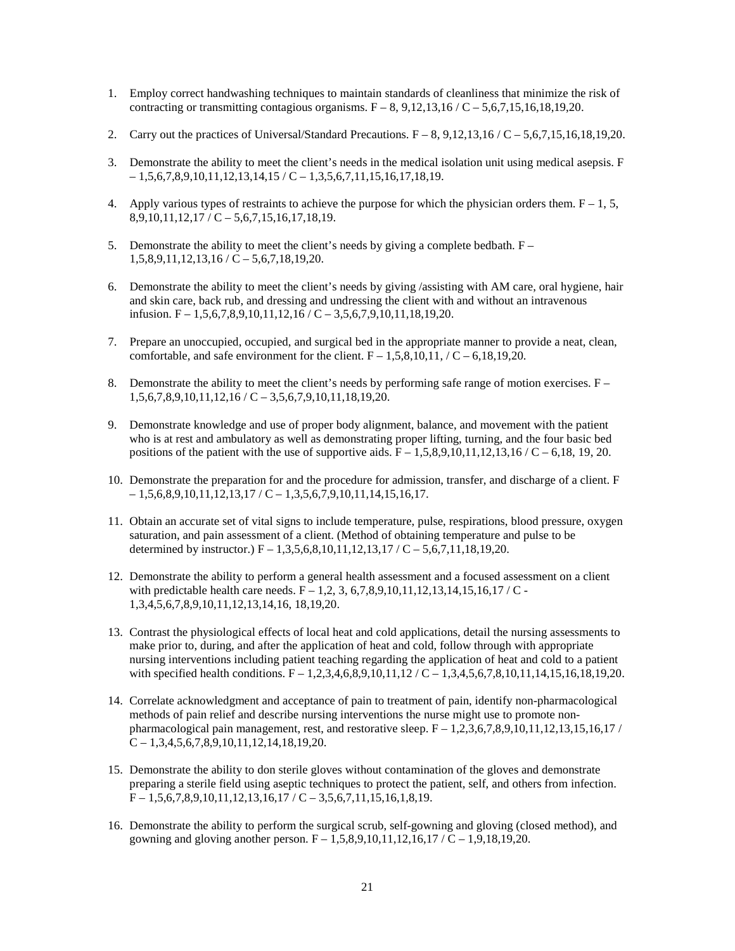- 1. Employ correct handwashing techniques to maintain standards of cleanliness that minimize the risk of contracting or transmitting contagious organisms.  $F - 8$ , 9,12,13,16 / C – 5,6,7,15,16,18,19,20.
- 2. Carry out the practices of Universal/Standard Precautions.  $F 8$ , 9,12,13,16 / C 5,6,7,15,16,18,19,20.
- 3. Demonstrate the ability to meet the client's needs in the medical isolation unit using medical asepsis. F  $-1,5,6,7,8,9,10,11,12,13,14,15 / C - 1,3,5,6,7,11,15,16,17,18,19.$
- 4. Apply various types of restraints to achieve the purpose for which the physician orders them.  $F 1$ , 5,  $8,9,10,11,12,17$  / C – 5,6,7,15,16,17,18,19.
- 5. Demonstrate the ability to meet the client's needs by giving a complete bedbath.  $F 1,5,8,9,11,12,13,16 / C - 5,6,7,18,19,20.$
- 6. Demonstrate the ability to meet the client's needs by giving /assisting with AM care, oral hygiene, hair and skin care, back rub, and dressing and undressing the client with and without an intravenous infusion.  $F = 1,5,6,7,8,9,10,11,12,16 / C - 3,5,6,7,9,10,11,18,19,20.$
- 7. Prepare an unoccupied, occupied, and surgical bed in the appropriate manner to provide a neat, clean, comfortable, and safe environment for the client.  $F - 1,5,8,10,11,7C - 6,18,19,20$ .
- 8. Demonstrate the ability to meet the client's needs by performing safe range of motion exercises.  $F 1,5,6,7,8,9,10,11,12,16 / C - 3,5,6,7,9,10,11,18,19,20.$
- 9. Demonstrate knowledge and use of proper body alignment, balance, and movement with the patient who is at rest and ambulatory as well as demonstrating proper lifting, turning, and the four basic bed positions of the patient with the use of supportive aids.  $F - 1,5,8,9,10,11,12,13,16$  / C – 6,18, 19, 20.
- 10. Demonstrate the preparation for and the procedure for admission, transfer, and discharge of a client. F  $-1,5,6,8,9,10,11,12,13,17$  / C  $-1,3,5,6,7,9,10,11,14,15,16,17.$
- 11. Obtain an accurate set of vital signs to include temperature, pulse, respirations, blood pressure, oxygen saturation, and pain assessment of a client. (Method of obtaining temperature and pulse to be determined by instructor.)  $F = 1,3,5,6,8,10,11,12,13,17 / C - 5,6,7,11,18,19,20$ .
- 12. Demonstrate the ability to perform a general health assessment and a focused assessment on a client with predictable health care needs.  $F - 1,2,3,6,7,8,9,10,11,12,13,14,15,16,17$  / C -1,3,4,5,6,7,8,9,10,11,12,13,14,16, 18,19,20.
- 13. Contrast the physiological effects of local heat and cold applications, detail the nursing assessments to make prior to, during, and after the application of heat and cold, follow through with appropriate nursing interventions including patient teaching regarding the application of heat and cold to a patient with specified health conditions.  $F = 1,2,3,4,6,8,9,10,11,12$  /  $C = 1,3,4,5,6,7,8,10,11,14,15,16,18,19,20$ .
- 14. Correlate acknowledgment and acceptance of pain to treatment of pain, identify non-pharmacological methods of pain relief and describe nursing interventions the nurse might use to promote nonpharmacological pain management, rest, and restorative sleep.  $F - 1,2,3,6,7,8,9,10,11,12,13,15,16,17$  $C - 1,3,4,5,6,7,8,9,10,11,12,14,18,19,20.$
- 15. Demonstrate the ability to don sterile gloves without contamination of the gloves and demonstrate preparing a sterile field using aseptic techniques to protect the patient, self, and others from infection.  $F = 1,5,6,7,8,9,10,11,12,13,16,17 / C - 3,5,6,7,11,15,16,1,8,19.$
- 16. Demonstrate the ability to perform the surgical scrub, self-gowning and gloving (closed method), and gowning and gloving another person.  $F = 1,5,8,9,10,11,12,16,17$  /  $C = 1,9,18,19,20$ .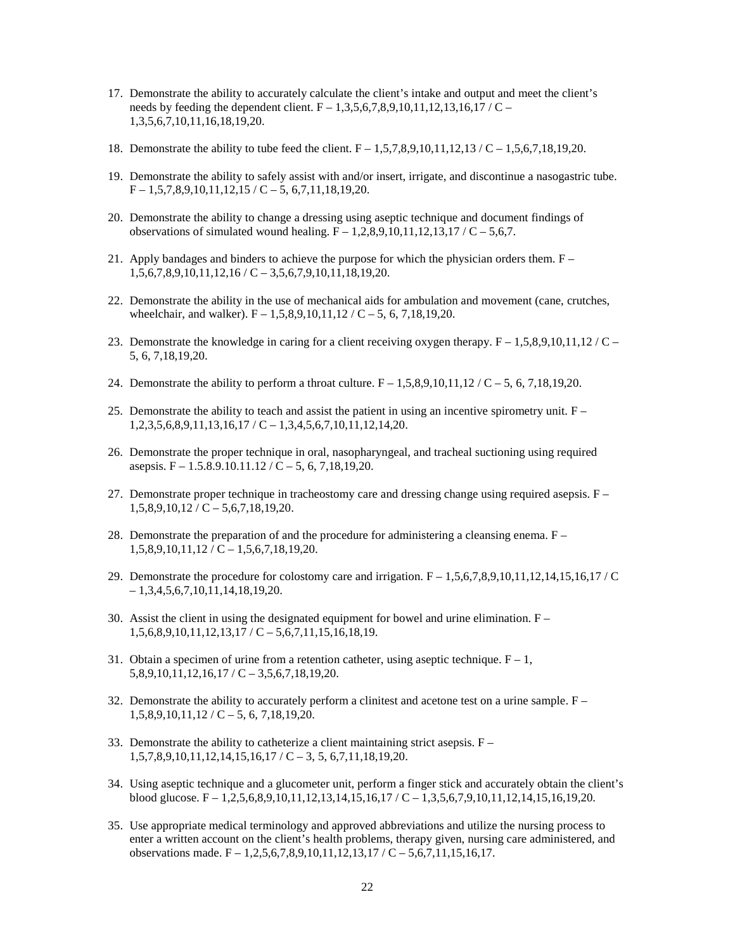- 17. Demonstrate the ability to accurately calculate the client's intake and output and meet the client's needs by feeding the dependent client.  $F - 1,3,5,6,7,8,9,10,11,12,13,16,17 / C -$ 1,3,5,6,7,10,11,16,18,19,20.
- 18. Demonstrate the ability to tube feed the client. F 1,5,7,8,9,10,11,12,13 / C 1,5,6,7,18,19,20.
- 19. Demonstrate the ability to safely assist with and/or insert, irrigate, and discontinue a nasogastric tube.  $F - 1,5,7,8,9,10,11,12,15 / C - 5,6,7,11,18,19,20.$
- 20. Demonstrate the ability to change a dressing using aseptic technique and document findings of observations of simulated wound healing.  $F = 1,2,8,9,10,11,12,13,17$  /  $C = 5,6,7$ .
- 21. Apply bandages and binders to achieve the purpose for which the physician orders them.  $F 1,5,6,7,8,9,10,11,12,16 / C - 3,5,6,7,9,10,11,18,19,20.$
- 22. Demonstrate the ability in the use of mechanical aids for ambulation and movement (cane, crutches, wheelchair, and walker).  $F = 1,5,8,9,10,11,12 / C - 5, 6, 7,18,19,20$ .
- 23. Demonstrate the knowledge in caring for a client receiving oxygen therapy.  $F 1,5,8,9,10,11,12$  / C 5, 6, 7,18,19,20.
- 24. Demonstrate the ability to perform a throat culture.  $F 1,5,8,9,10,11,12 / C 5,6,7,18,19,20$ .
- 25. Demonstrate the ability to teach and assist the patient in using an incentive spirometry unit.  $F 1,2,3,5,6,8,9,11,13,16,17 / C - 1,3,4,5,6,7,10,11,12,14,20.$
- 26. Demonstrate the proper technique in oral, nasopharyngeal, and tracheal suctioning using required asepsis.  $F - 1.5.8.9.10.11.12 / C - 5, 6, 7.18.19.20$ .
- 27. Demonstrate proper technique in tracheostomy care and dressing change using required asepsis.  $F 1,5,8,9,10,12 / C - 5,6,7,18,19,20.$
- 28. Demonstrate the preparation of and the procedure for administering a cleansing enema. F  $1,5,8,9,10,11,12 / C - 1,5,6,7,18,19,20.$
- 29. Demonstrate the procedure for colostomy care and irrigation.  $F 1,5,6,7,8,9,10,11,12,14,15,16,17$  / C  $-1,3,4,5,6,7,10,11,14,18,19,20.$
- 30. Assist the client in using the designated equipment for bowel and urine elimination.  $F 1,5,6,8,9,10,11,12,13,17$  / C – 5,6,7,11,15,16,18,19.
- 31. Obtain a specimen of urine from a retention catheter, using aseptic technique.  $F 1$ ,  $5,8,9,10,11,12,16,17$  / C  $-3,5,6,7,18,19,20$ .
- 32. Demonstrate the ability to accurately perform a clinitest and acetone test on a urine sample.  $F 1,5,8,9,10,11,12 \; / \; C - 5, 6, 7,18,19,20.$
- 33. Demonstrate the ability to catheterize a client maintaining strict asepsis. F  $1,5,7,8,9,10,11,12,14,15,16,17$  / C – 3, 5, 6,7,11,18,19,20.
- 34. Using aseptic technique and a glucometer unit, perform a finger stick and accurately obtain the client's blood glucose. F – 1,2,5,6,8,9,10,11,12,13,14,15,16,17 / C – 1,3,5,6,7,9,10,11,12,14,15,16,19,20.
- 35. Use appropriate medical terminology and approved abbreviations and utilize the nursing process to enter a written account on the client's health problems, therapy given, nursing care administered, and observations made.  $F - 1,2,5,6,7,8,9,10,11,12,13,17$  /  $C - 5,6,7,11,15,16,17$ .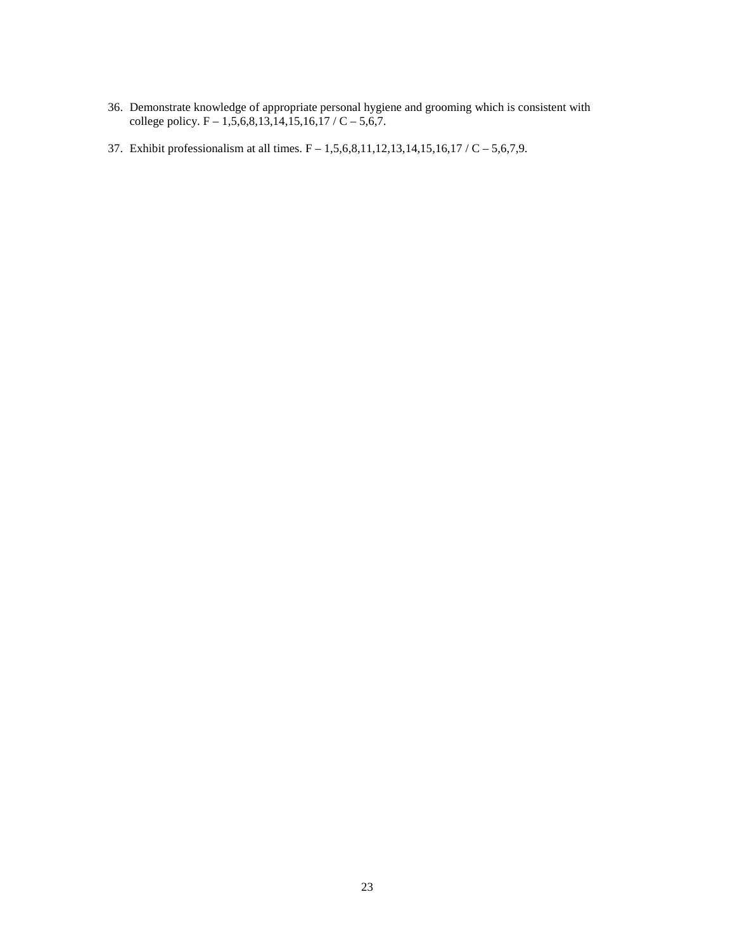- 36. Demonstrate knowledge of appropriate personal hygiene and grooming which is consistent with college policy. F – 1,5,6,8,13,14,15,16,17 / C – 5,6,7.
- 37. Exhibit professionalism at all times. F 1,5,6,8,11,12,13,14,15,16,17 / C 5,6,7,9.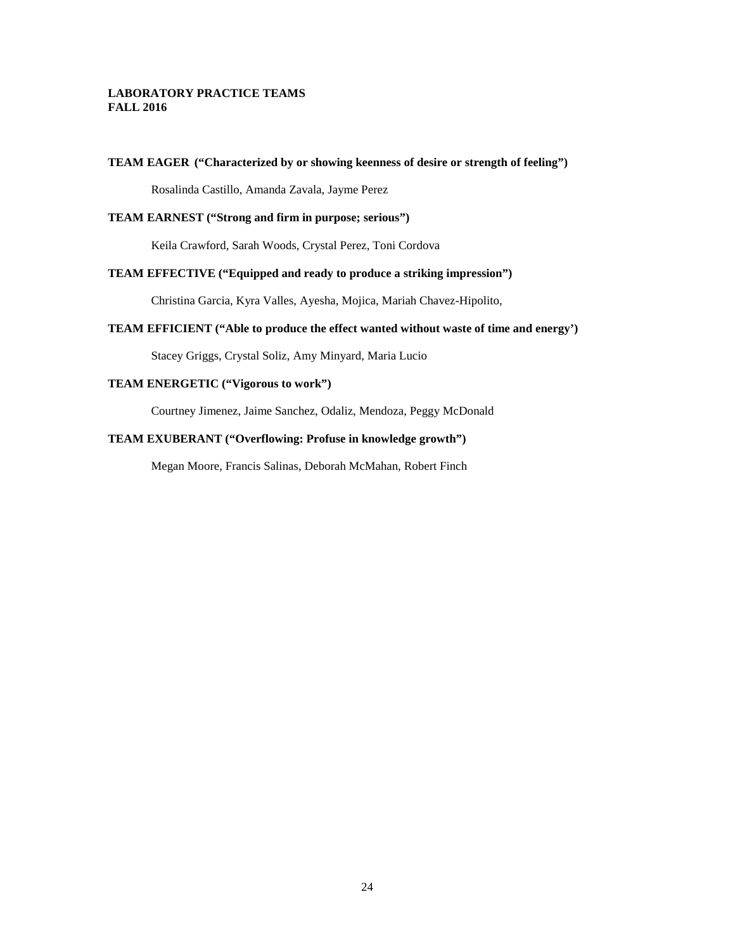### **LABORATORY PRACTICE TEAMS FALL 2016**

#### **TEAM EAGER ("Characterized by or showing keenness of desire or strength of feeling")**

Rosalinda Castillo, Amanda Zavala, Jayme Perez

### **TEAM EARNEST ("Strong and firm in purpose; serious")**

Keila Crawford, Sarah Woods, Crystal Perez, Toni Cordova

### **TEAM EFFECTIVE ("Equipped and ready to produce a striking impression")**

Christina Garcia, Kyra Valles, Ayesha, Mojica, Mariah Chavez-Hipolito,

### **TEAM EFFICIENT ("Able to produce the effect wanted without waste of time and energy')**

Stacey Griggs, Crystal Soliz, Amy Minyard, Maria Lucio

### **TEAM ENERGETIC ("Vigorous to work")**

Courtney Jimenez, Jaime Sanchez, Odaliz, Mendoza, Peggy McDonald

### **TEAM EXUBERANT ("Overflowing: Profuse in knowledge growth")**

Megan Moore, Francis Salinas, Deborah McMahan, Robert Finch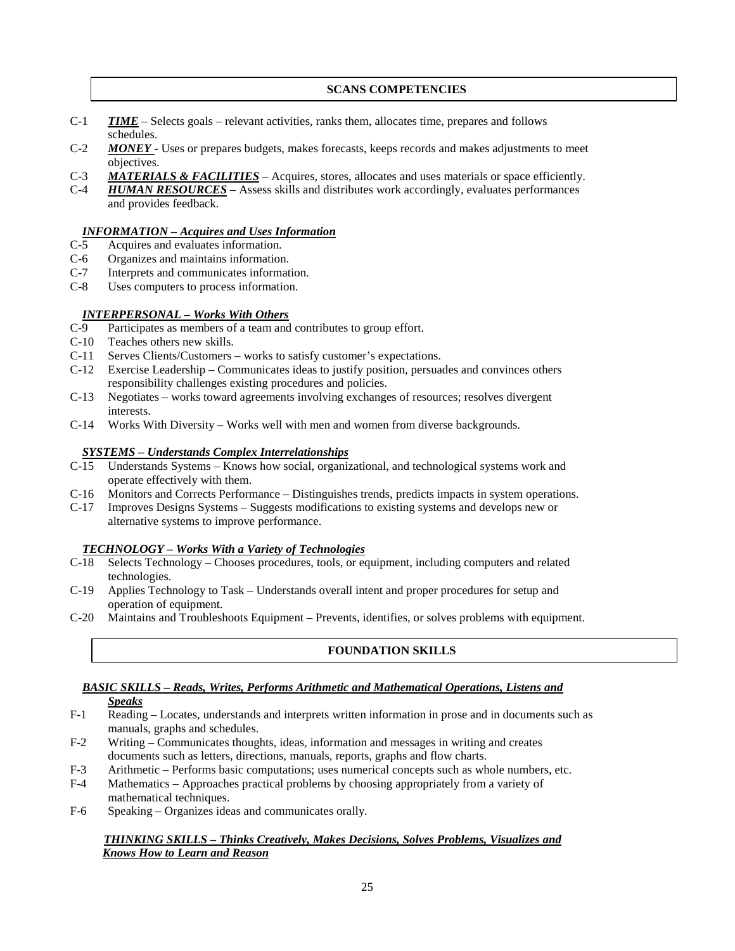### **SCANS COMPETENCIES**

- C-1 *TIME* Selects goals relevant activities, ranks them, allocates time, prepares and follows schedules.
- C-2 *MONEY* Uses or prepares budgets, makes forecasts, keeps records and makes adjustments to meet objectives.
- C-3 *MATERIALS & FACILITIES* Acquires, stores, allocates and uses materials or space efficiently.
- C-4 *HUMAN RESOURCES* Assess skills and distributes work accordingly, evaluates performances and provides feedback.

### *INFORMATION – Acquires and Uses Information*

- C-5 Acquires and evaluates information.
- C-6 Organizes and maintains information.<br>C-7 Interprets and communicates informat
- Interprets and communicates information.
- C-8 Uses computers to process information.

### *INTERPERSONAL – Works With Others*

- C-9 Participates as members of a team and contributes to group effort.
- C-10 Teaches others new skills.
- C-11 Serves Clients/Customers works to satisfy customer's expectations.
- C-12 Exercise Leadership Communicates ideas to justify position, persuades and convinces others responsibility challenges existing procedures and policies.
- C-13 Negotiates works toward agreements involving exchanges of resources; resolves divergent interests.
- C-14 Works With Diversity Works well with men and women from diverse backgrounds.

### *SYSTEMS – Understands Complex Interrelationships*

- C-15 Understands Systems Knows how social, organizational, and technological systems work and operate effectively with them.
- C-16 Monitors and Corrects Performance Distinguishes trends, predicts impacts in system operations.
- C-17 Improves Designs Systems Suggests modifications to existing systems and develops new or alternative systems to improve performance.

### *TECHNOLOGY – Works With a Variety of Technologies*

- C-18 Selects Technology Chooses procedures, tools, or equipment, including computers and related technologies.
- C-19 Applies Technology to Task Understands overall intent and proper procedures for setup and operation of equipment.
- C-20 Maintains and Troubleshoots Equipment Prevents, identifies, or solves problems with equipment.

# **FOUNDATION SKILLS**

# *BASIC SKILLS – Reads, Writes, Performs Arithmetic and Mathematical Operations, Listens and*

- *Speaks*
- F-1 Reading Locates, understands and interprets written information in prose and in documents such as manuals, graphs and schedules.
- F-2 Writing Communicates thoughts, ideas, information and messages in writing and creates documents such as letters, directions, manuals, reports, graphs and flow charts.
- F-3 Arithmetic Performs basic computations; uses numerical concepts such as whole numbers, etc.
- F-4 Mathematics Approaches practical problems by choosing appropriately from a variety of mathematical techniques.
- F-6 Speaking Organizes ideas and communicates orally.

### *THINKING SKILLS – Thinks Creatively, Makes Decisions, Solves Problems, Visualizes and Knows How to Learn and Reason*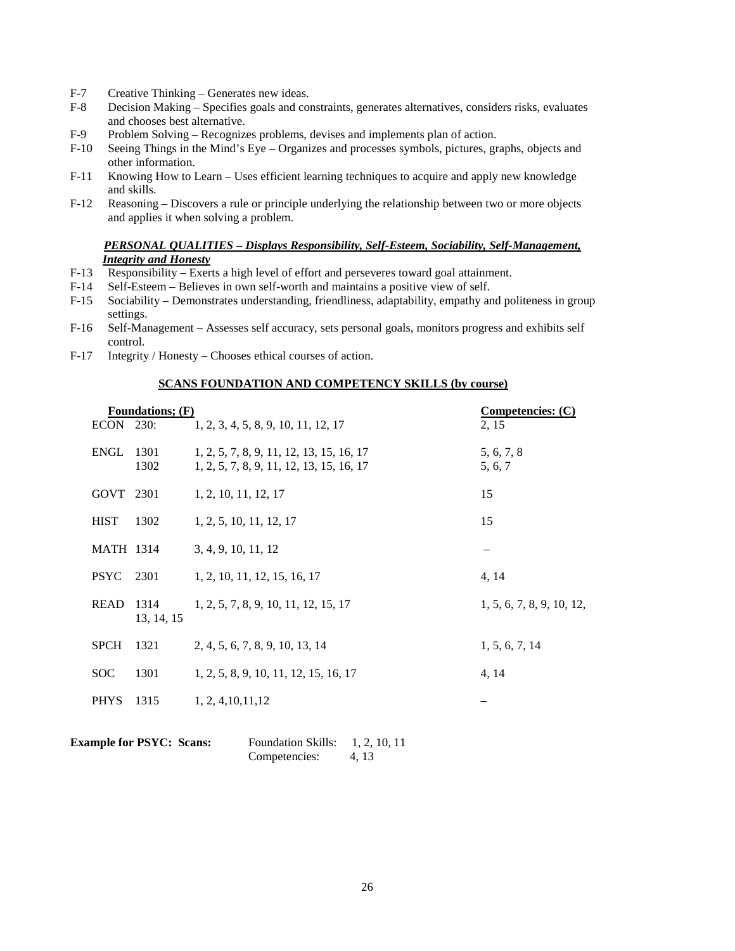- F-7 Creative Thinking Generates new ideas.<br>F-8 Decision Making Specifies goals and co
- Decision Making Specifies goals and constraints, generates alternatives, considers risks, evaluates and chooses best alternative.
- F-9 Problem Solving Recognizes problems, devises and implements plan of action.
- F-10 Seeing Things in the Mind's Eye Organizes and processes symbols, pictures, graphs, objects and other information.
- F-11 Knowing How to Learn Uses efficient learning techniques to acquire and apply new knowledge and skills.
- F-12 Reasoning Discovers a rule or principle underlying the relationship between two or more objects and applies it when solving a problem.

### *PERSONAL QUALITIES – Displays Responsibility, Self-Esteem, Sociability, Self-Management, Integrity and Honesty*

- F-13 Responsibility Exerts a high level of effort and perseveres toward goal attainment.
- F-14 Self-Esteem Believes in own self-worth and maintains a positive view of self.
- F-15 Sociability Demonstrates understanding, friendliness, adaptability, empathy and politeness in group settings.
- F-16 Self-Management Assesses self accuracy, sets personal goals, monitors progress and exhibits self control.
- F-17 Integrity / Honesty Chooses ethical courses of action.

#### **SCANS FOUNDATION AND COMPETENCY SKILLS (by course)**

| <b>Foundations</b> ; (F) |                    | Competencies: $(C)$                                                                  |                           |
|--------------------------|--------------------|--------------------------------------------------------------------------------------|---------------------------|
| ECON 230:                |                    | 1, 2, 3, 4, 5, 8, 9, 10, 11, 12, 17                                                  | 2, 15                     |
| ENGL                     | 1301<br>1302       | 1, 2, 5, 7, 8, 9, 11, 12, 13, 15, 16, 17<br>1, 2, 5, 7, 8, 9, 11, 12, 13, 15, 16, 17 | 5, 6, 7, 8<br>5, 6, 7     |
| GOVT 2301                |                    | 1, 2, 10, 11, 12, 17                                                                 | 15                        |
| <b>HIST</b>              | 1302               | 1, 2, 5, 10, 11, 12, 17                                                              | 15                        |
| <b>MATH 1314</b>         |                    | 3, 4, 9, 10, 11, 12                                                                  |                           |
| <b>PSYC</b>              | 2301               | 1, 2, 10, 11, 12, 15, 16, 17                                                         | 4, 14                     |
| <b>READ</b>              | 1314<br>13, 14, 15 | 1, 2, 5, 7, 8, 9, 10, 11, 12, 15, 17                                                 | 1, 5, 6, 7, 8, 9, 10, 12, |
| <b>SPCH</b>              | 1321               | 2, 4, 5, 6, 7, 8, 9, 10, 13, 14                                                      | 1, 5, 6, 7, 14            |
| <b>SOC</b>               | 1301               | 1, 2, 5, 8, 9, 10, 11, 12, 15, 16, 17                                                | 4, 14                     |
| <b>PHYS</b>              | 1315               | 1, 2, 4, 10, 11, 12                                                                  |                           |
|                          |                    |                                                                                      |                           |

| <b>Example for PSYC: Scans:</b> | <b>Foundation Skills:</b> | 1, 2, 10, 11 |
|---------------------------------|---------------------------|--------------|
|                                 | Competencies:             | 4.13         |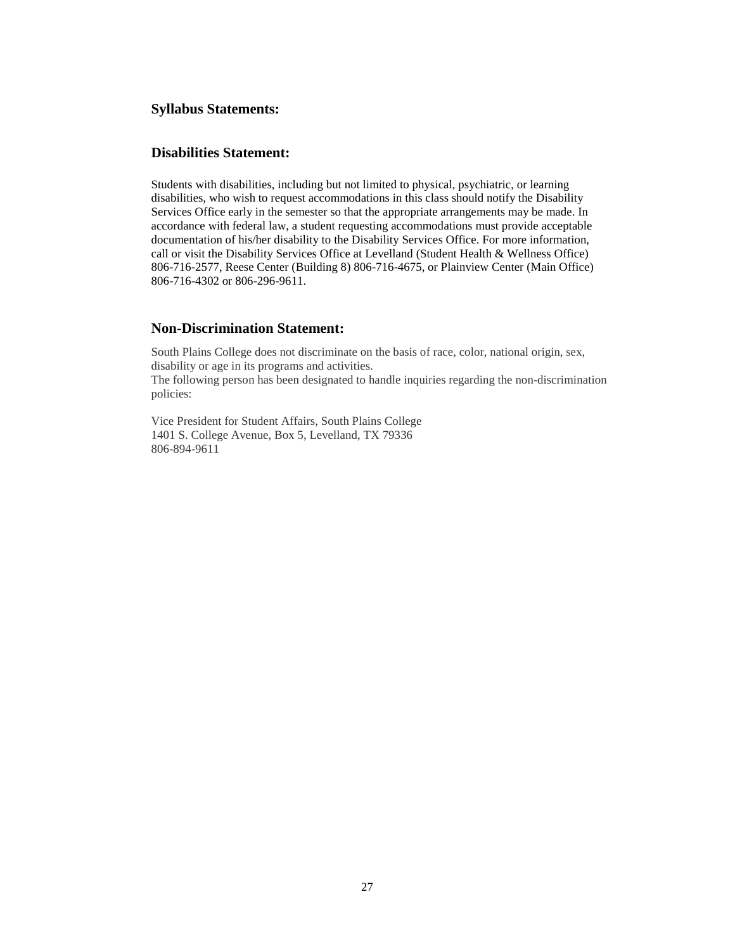### **Syllabus Statements:**

### **Disabilities Statement:**

Students with disabilities, including but not limited to physical, psychiatric, or learning disabilities, who wish to request accommodations in this class should notify the Disability Services Office early in the semester so that the appropriate arrangements may be made. In accordance with federal law, a student requesting accommodations must provide acceptable documentation of his/her disability to the Disability Services Office. For more information, call or visit the Disability Services Office at Levelland (Student Health & Wellness Office) 806-716-2577, Reese Center (Building 8) 806-716-4675, or Plainview Center (Main Office) 806-716-4302 or 806-296-9611.

### **Non-Discrimination Statement:**

South Plains College does not discriminate on the basis of race, color, national origin, sex, disability or age in its programs and activities.

The following person has been designated to handle inquiries regarding the non-discrimination policies:

Vice President for Student Affairs, South Plains College 1401 S. College Avenue, Box 5, Levelland, TX 79336 806-894-9611